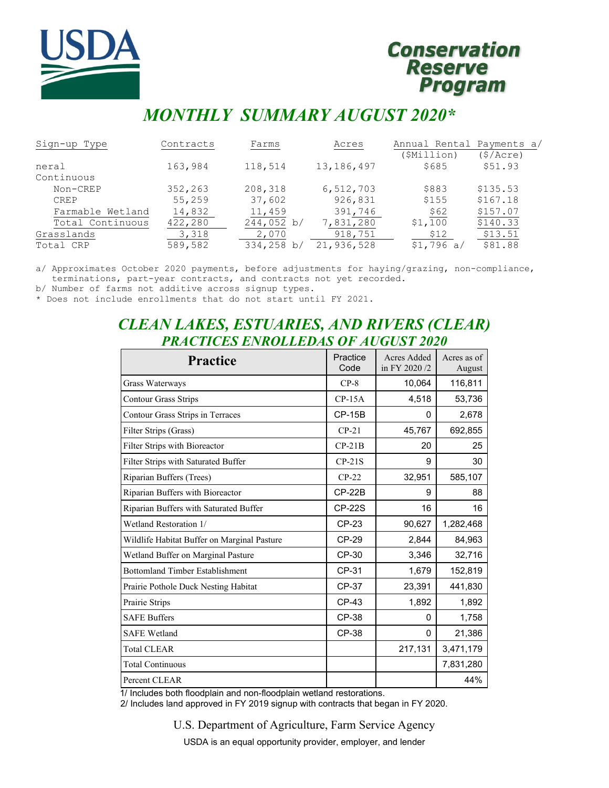

# **Conservation Reserve** Program

# *MONTHLY SUMMARY AUGUST 2020\**

| Sign-up Type     | Contracts | Farms      | Acres      | Annual Rental Payments a/ |          |
|------------------|-----------|------------|------------|---------------------------|----------|
|                  |           |            |            | (\$Million)               | (S/Acre) |
| neral            | 163,984   | 118,514    | 13,186,497 | \$685                     | \$51.93  |
| Continuous       |           |            |            |                           |          |
| Non-CREP         | 352,263   | 208,318    | 6,512,703  | \$883                     | \$135.53 |
| <b>CREP</b>      | 55,259    | 37,602     | 926,831    | \$155                     | \$167.18 |
| Farmable Wetland | 14,832    | 11,459     | 391,746    | \$62                      | \$157.07 |
| Total Continuous | 422,280   | 244,052 b/ | 7,831,280  | \$1,100                   | \$140.33 |
| Grasslands       | 3,318     | 2,070      | 918,751    | \$12                      | \$13.51  |
| Total CRP        | 589,582   | 334,258 b/ | 21,936,528 | \$1,796 a/                | \$81.88  |

a/ Approximates October 2020 payments, before adjustments for haying/grazing, non-compliance, terminations, part-year contracts, and contracts not yet recorded.

b/ Number of farms not additive across signup types.

\* Does not include enrollments that do not start until FY 2021.

# *CLEAN LAKES, ESTUARIES, AND RIVERS (CLEAR) PRACTICES ENROLLEDAS OF AUGUST 2020*

| <b>Practice</b>                             | Practice<br>Code | Acres Added<br>in FY 2020/2 | Acres as of<br>August |
|---------------------------------------------|------------------|-----------------------------|-----------------------|
| Grass Waterways                             | $CP-8$           | 10,064                      | 116,811               |
| <b>Contour Grass Strips</b>                 | $CP-15A$         | 4,518                       | 53,736                |
| Contour Grass Strips in Terraces            | $CP-15B$         | 0                           | 2,678                 |
| Filter Strips (Grass)                       | $CP-21$          | 45,767                      | 692,855               |
| Filter Strips with Bioreactor               | $CP-21B$         | 20                          | 25                    |
| Filter Strips with Saturated Buffer         | $CP-21S$         | 9                           | 30                    |
| Riparian Buffers (Trees)                    | $CP-22$          | 32,951                      | 585,107               |
| Riparian Buffers with Bioreactor            | $CP-22B$         | 9                           | 88                    |
| Riparian Buffers with Saturated Buffer      | <b>CP-22S</b>    | 16                          | 16                    |
| Wetland Restoration 1/                      | CP-23            | 90,627                      | 1,282,468             |
| Wildlife Habitat Buffer on Marginal Pasture | <b>CP-29</b>     | 2,844                       | 84,963                |
| Wetland Buffer on Marginal Pasture          | CP-30            | 3,346                       | 32,716                |
| <b>Bottomland Timber Establishment</b>      | CP-31            | 1,679                       | 152,819               |
| Prairie Pothole Duck Nesting Habitat        | CP-37            | 23,391                      | 441,830               |
| Prairie Strips                              | CP-43            | 1,892                       | 1,892                 |
| <b>SAFE Buffers</b>                         | CP-38            | $\Omega$                    | 1,758                 |
| <b>SAFE Wetland</b>                         | CP-38            | 0                           | 21,386                |
| <b>Total CLEAR</b>                          |                  | 217,131                     | 3,471,179             |
| <b>Total Continuous</b>                     |                  |                             | 7,831,280             |
| Percent CLEAR                               |                  |                             | 44%                   |

1/ Includes both floodplain and non-floodplain wetland restorations.

2/ Includes land approved in FY 2019 signup with contracts that began in FY 2020.

U.S. Department of Agriculture, Farm Service Agency

USDA is an equal opportunity provider, employer, and lender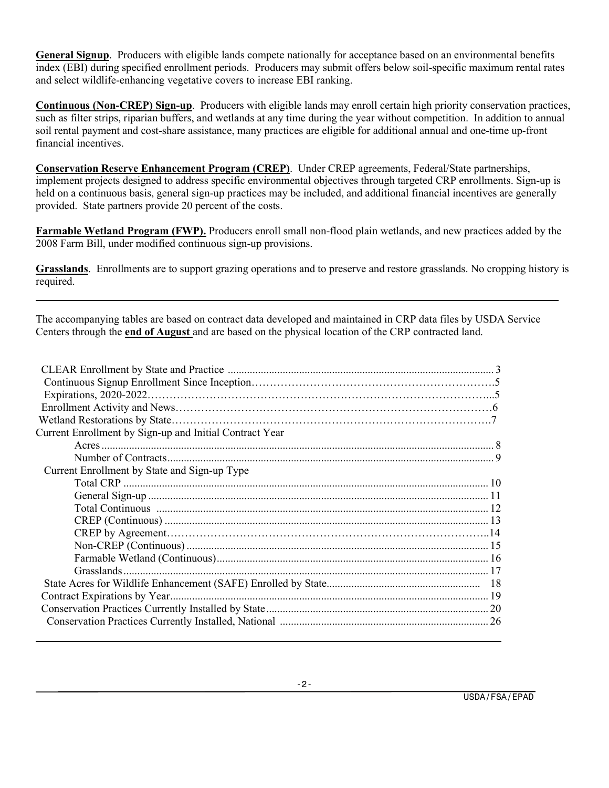**General Signup**. Producers with eligible lands compete nationally for acceptance based on an environmental benefits index (EBI) during specified enrollment periods. Producers may submit offers below soil-specific maximum rental rates and select wildlife-enhancing vegetative covers to increase EBI ranking.

**Continuous (Non-CREP) Sign-up**. Producers with eligible lands may enroll certain high priority conservation practices, such as filter strips, riparian buffers, and wetlands at any time during the year without competition. In addition to annual soil rental payment and cost-share assistance, many practices are eligible for additional annual and one-time up-front financial incentives.

**Conservation Reserve Enhancement Program (CREP)**. Under CREP agreements, Federal/State partnerships, implement projects designed to address specific environmental objectives through targeted CRP enrollments. Sign-up is held on a continuous basis, general sign-up practices may be included, and additional financial incentives are generally provided. State partners provide 20 percent of the costs.

**Farmable Wetland Program (FWP).** Producers enroll small non-flood plain wetlands, and new practices added by the 2008 Farm Bill, under modified continuous sign-up provisions.

**Grasslands**. Enrollments are to support grazing operations and to preserve and restore grasslands. No cropping history is required.

The accompanying tables are based on contract data developed and maintained in CRP data files by USDA Service Centers through the **end of August** and are based on the physical location of the CRP contracted land.

| Current Enrollment by Sign-up and Initial Contract Year |  |
|---------------------------------------------------------|--|
|                                                         |  |
|                                                         |  |
| Current Enrollment by State and Sign-up Type            |  |
|                                                         |  |
|                                                         |  |
|                                                         |  |
|                                                         |  |
|                                                         |  |
|                                                         |  |
|                                                         |  |
|                                                         |  |
|                                                         |  |
|                                                         |  |
|                                                         |  |
|                                                         |  |
|                                                         |  |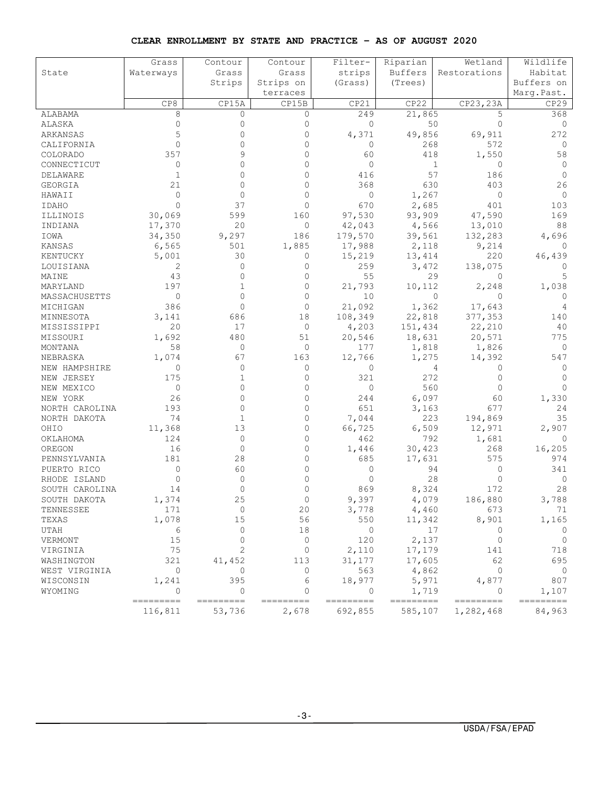#### **CLEAR ENROLLMENT BY STATE AND PRACTICE – AS OF AUGUST 2020**

|                | Grass                   | Contour             | Contour            | Filter-              | Riparian             | Wetland                | Wildlife            |
|----------------|-------------------------|---------------------|--------------------|----------------------|----------------------|------------------------|---------------------|
| State          | Waterways               | Grass               | Grass              | strips               | Buffers              | Restorations           | Habitat             |
|                |                         | Strips              | Strips on          | (Grass)              | (Trees)              |                        | Buffers on          |
|                |                         |                     | terraces           |                      |                      |                        | Marg.Past.          |
|                | CP8                     | CP15A               | CP15B              | CP21                 | CP22                 | CP23, 23A              | CP29                |
| ALABAMA        | 8                       | 0                   | 0                  | 249                  | 21,865               | 5                      | 368                 |
| ALASKA         | $\Omega$                | 0                   | 0                  | $\mathbf{0}$         | 50                   | $\Omega$               | 0                   |
| ARKANSAS       | 5                       | $\Omega$            | $\Omega$           | 4,371                | 49,856               | 69,911                 | 272                 |
| CALIFORNIA     | $\Omega$                | 0                   | 0                  | $\circ$              | 268                  | 572                    | 0                   |
| COLORADO       | 357                     |                     | $\Omega$           | 60                   | 418                  | 1,550                  | 58                  |
| CONNECTICUT    | 0                       |                     | $\Omega$           | $\mathbf{0}$         |                      | 1<br>0                 | 0                   |
| DELAWARE       | -1                      | 0                   | 0                  | 416                  | 57                   | 186                    | $\Omega$            |
| GEORGIA        | 21                      | 0                   | $\Omega$           | 368                  | 630                  | 403                    | 26                  |
| HAWAII         | $\Omega$                | $\Omega$            | $\Omega$           | $\circ$              | 1,267                | 0                      | 0                   |
| IDAHO          | $\Omega$                | 37                  | $\mathbf{0}$       | 670                  | 2,685                | 401                    | 103                 |
| ILLINOIS       | 30,069                  | 599                 | 160                | 97,530               | 93,909               | 47,590                 | 169                 |
| INDIANA        | 17,370                  | 20                  | $\circ$            | 42,043               | 4,566                | 13,010                 | 88                  |
| IOWA           | 34,350                  | 9,297               | 186                | 179,570              | 39,561               | 132,283                | 4,696               |
| KANSAS         | 6,565                   | 501                 | 1,885              | 17,988               | 2,118                | 9,214                  | 0                   |
| KENTUCKY       | 5,001                   | 30                  | 0                  | 15,219               | 13,414               | 220                    | 46,439              |
| LOUISIANA      | 2                       | $\Omega$            | $\Omega$           | 259                  | 3,472                | 138,075                | 0                   |
| MAINE          | 43                      | $\Omega$            | $\mathbf{0}$       | 55                   |                      | 29<br>0                | 5                   |
| MARYLAND       | 197                     | 1                   | $\mathbf{0}$       | 21,793               | 10,112               | 2,248                  | 1,038               |
| MASSACHUSETTS  | $\circ$                 | $\Omega$            | $\Omega$           | 10                   |                      | $\circ$<br>0           | $\Omega$            |
| MICHIGAN       | 386                     | $\Omega$            | $\mathbf{0}$       | 21,092               | 1,362                | 17,643                 | 4                   |
| MINNESOTA      | 3,141                   | 686                 | 18                 | 108,349              | 22,818               | 377,353                | 140                 |
| MISSISSIPPI    | 20                      | 17                  | $\circ$            | 4,203                | 151,434              | 22,210                 | 40                  |
| MISSOURI       | 1,692                   | 480                 | 51                 | 20,546               | 18,631               | 20,571                 | 775                 |
| MONTANA        | 58                      | $\circ$             | 0                  | 177                  | 1,818                | 1,826                  | 0                   |
| NEBRASKA       | 1,074                   | 67                  | 163                | 12,766               | 1,275                | 14,392                 | 547                 |
| NEW HAMPSHIRE  | 0                       | $\Omega$            | $\mathbf{0}$       | 0                    |                      | 4<br>0                 | 0                   |
| NEW JERSEY     | 175                     | 1                   | $\mathbf{0}$       | 321                  | 272                  | $\Omega$               | $\Omega$            |
| NEW MEXICO     | $\circ$                 | 0                   | 0                  | $\mathbf 0$          | 560                  | $\mathbf{0}$           | $\Omega$            |
| NEW YORK       | 26                      | $\Omega$            | $\Omega$           | 244                  | 6,097                | 60                     | 1,330               |
| NORTH CAROLINA | 193                     | $\Omega$            | $\Omega$           | 651                  | 3,163                | 677                    | 24                  |
| NORTH DAKOTA   | 74                      | 1                   | 0                  | 7,044                | 223                  | 194,869                | 35                  |
| OHIO           | 11,368                  | 13                  | 0                  | 66,725               | 6,509                | 12,971                 | 2,907               |
| OKLAHOMA       | 124                     | $\mathbf 0$         | $\Omega$           | 462                  | 792                  | 1,681                  | 0                   |
| OREGON         | 16                      | 0                   | $\circ$            | 1,446                | 30,423               | 268                    | 16,205              |
| PENNSYLVANIA   | 181                     | 28                  | $\Omega$           | 685                  | 17,631               | 575                    | 974                 |
| PUERTO RICO    | 0                       | 60                  | $\Omega$           | 0                    | 94                   | 0                      | 341                 |
| RHODE ISLAND   | $\circ$                 | 0                   | 0                  | 0                    | 28                   | 0                      | 0                   |
| SOUTH CAROLINA | 14                      | 0                   | 0                  | 869                  | 8,324                | 172                    | 28                  |
| SOUTH DAKOTA   | 1,374                   | 25                  |                    | 9,397                | 4,079                | 186,880                | 3,788               |
| TENNESSEE      | 171                     | $\circ$             | 20                 | 3,778                | 4,460                | 673                    | 71                  |
| TEXAS          | 1,078                   | 15                  | 56                 | 550                  | 11,342               | 8,901                  | 1,165               |
| UTAH           | 6                       | $\mathbf{0}$        | 18                 | $\circ$              | 17                   | $\Omega$               | $\circ$             |
| VERMONT        | 15                      | $\Omega$            | $\mathbf 0$        | 120                  | 2,137                | 0                      | $\circ$             |
| VIRGINIA       | 75                      | 2                   | 0                  | 2,110                | 17,179               | 141                    | 718                 |
| WASHINGTON     | 321                     | 41,452              | 113                | 31, 177              | 17,605               | 62                     | 695                 |
| WEST VIRGINIA  | $\circ$                 | $\mathbf{0}$        | $\mathbf{0}$       | 563                  | 4,862                | $\circ$                | $\overline{0}$      |
| WISCONSIN      | 1,241                   | 395                 | 6                  | 18,977               | 5,971                | 4,877                  | 807                 |
| WYOMING        | $\circ$                 | $\mathbf 0$         | $\mathbf{0}$       | $\mathbf 0$          | 1,719                | $\circ$                | 1,107               |
|                | $=$ ========<br>116,811 | =========<br>53,736 | ---------<br>2,678 | ---------<br>692,855 | ---------<br>585,107 | =========<br>1,282,468 | ---------<br>84,963 |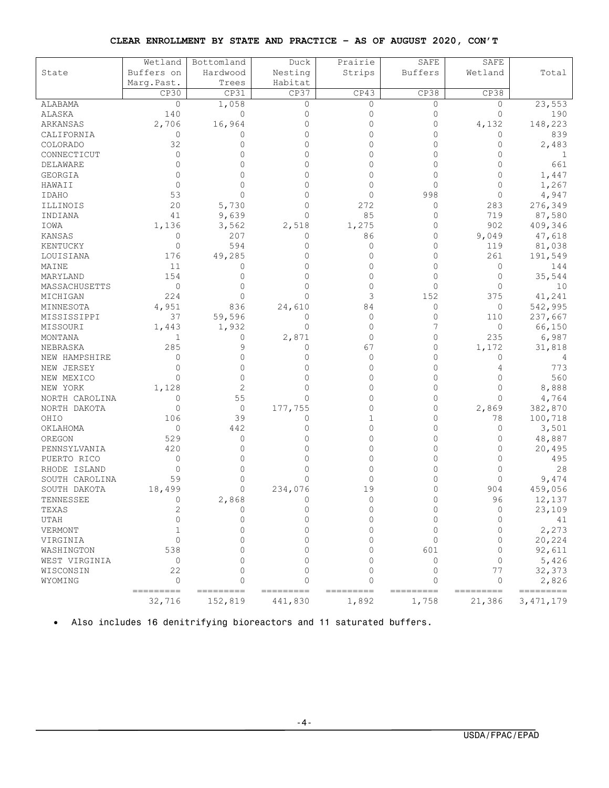#### **CLEAR ENROLLMENT BY STATE AND PRACTICE – AS OF AUGUST 2020, CON'T**

|                | Wetland               | Bottomland            | Duck                  | Prairie        | SAFE           | SAFE           |                    |
|----------------|-----------------------|-----------------------|-----------------------|----------------|----------------|----------------|--------------------|
| State          | Buffers on            | Hardwood              | Nesting               |                | <b>Buffers</b> | Wetland        | Total              |
|                | Marq. Past.           | Trees                 | Habitat               | Strips         |                |                |                    |
|                | CP30                  | CP31                  | CP37                  | CP43           | CP38           | CP38           |                    |
| ALABAMA        | $\circ$               | 1,058                 | $\mathbf{0}$          | $\circ$        | $\circ$        | $\circ$        | 23,553             |
| ALASKA         | 140                   | $\mathbf{0}$          | $\mathbf{0}$          | 0              | 0              | $\mathbf{0}$   | 190                |
| ARKANSAS       | 2,706                 | 16,964                | $\Omega$              | $\Omega$       | $\Omega$       | 4,132          | 148,223            |
| CALIFORNIA     | 0                     | 0                     | $\Omega$              | 0              | 0              | 0              | 839                |
| COLORADO       | 32                    | $\Omega$              | $\Omega$              | 0              | 0              | 0              | 2,483              |
| CONNECTICUT    | $\circ$               | $\Omega$              | $\Omega$              | 0              | $\Omega$       | $\Omega$       | 1                  |
| DELAWARE       | $\Omega$              | $\Omega$              | $\Omega$              | 0              | $\Omega$       | $\Omega$       | 661                |
| GEORGIA        | 0                     | n                     | $\Omega$              | 0              | 0              | 0              | 1,447              |
| HAWAII         | $\mathbf{0}$          | $\Omega$              | $\Omega$              | $\Omega$       | 0              | $\Omega$       | 1,267              |
| <b>IDAHO</b>   | 53                    | $\Omega$              | $\Omega$              | $\Omega$       | 998            | $\Omega$       | 4,947              |
|                | 20                    |                       | 0                     |                | 0              |                |                    |
| ILLINOIS       |                       | 5,730                 | $\Omega$              | 272<br>85      |                | 283            | 276,349            |
| INDIANA        | 41                    | 9,639                 |                       |                | 0<br>$\Omega$  | 719<br>902     | 87,580             |
| IOWA           | 1,136                 | 3,562                 | 2,518                 | 1,275          |                |                | 409,346            |
| KANSAS         | 0                     | 207                   | 0                     | 86             | 0              | 9,049          | 47,618             |
| KENTUCKY       | $\mathbf{0}$          | 594                   | 0                     | 0              | $\circ$        | 119            | 81,038             |
| LOUISIANA      | 176                   | 49,285                | $\Omega$              | $\Omega$       | $\circ$        | 261            | 191,549            |
| MAINE          | 11                    | 0                     | $\Omega$              | 0              | $\circ$        | 0              | 144                |
| MARYLAND       | 154                   | 0                     | $\Omega$              | 0              | $\circ$        | 0              | 35,544             |
| MASSACHUSETTS  | $\circ$               | $\Omega$              | $\Omega$              | 0              | 0              | $\Omega$       | 10                 |
| MICHIGAN       | 224                   | $\Omega$              | $\Omega$              | 3              | 152            | 375            | 41,241             |
| MINNESOTA      | 4,951                 | 836                   | 24,610                | 84             | 0              | $\circ$        | 542,995            |
| MISSISSIPPI    | 37                    | 59,596                | $\Omega$              | 0              | 0              | 110            | 237,667            |
| MISSOURI       | 1,443                 | 1,932                 | $\Omega$              | $\Omega$       | 7              | 0              | 66,150             |
| MONTANA        | 1                     | 0                     | 2,871                 | 0              | $\mathbf{0}$   | 235            | 6,987              |
| NEBRASKA       | 285                   | 9                     | 0                     | 67             | $\mathbf{0}$   | 1,172          | 31,818             |
| NEW HAMPSHIRE  | $\Omega$              | $\Omega$              | $\Omega$              | 0              | $\Omega$       | 0              | 4                  |
| NEW JERSEY     | $\Omega$              | $\Omega$              | $\Omega$              | 0              | $\circ$        | 4              | 773                |
| NEW MEXICO     | $\Omega$              | $\Omega$              | $\Omega$              | 0              | $\circ$        | $\Omega$       | 560                |
| NEW YORK       | 1,128                 | 2                     | $\Omega$              | 0              | $\Omega$       | $\Omega$       | 8,888              |
| NORTH CAROLINA | $\Omega$              | 55                    | $\Omega$              | 0              | $\Omega$       | $\Omega$       | 4,764              |
| NORTH DAKOTA   | $\mathbf{0}$          | 0                     | 177,755               | 0              | 0              | 2,869          | 382,870            |
| OHIO           | 106                   | 39                    | 0                     | 1              | 0              | 78             | 100,718            |
| OKLAHOMA       | $\mathbf{0}$          | 442                   | $\Omega$              | $\Omega$       | $\Omega$       | 0              | 3,501              |
| OREGON         | 529                   | $\mathbf{0}$          | $\Omega$              | 0              | 0              | 0              | 48,887             |
| PENNSYLVANIA   | 420                   | $\Omega$              | $\Omega$              | 0              | 0              | 0              | 20,495             |
| PUERTO RICO    | $\circ$               | $\Omega$              | $\Omega$              | 0              | $\Omega$       | $\Omega$       | 495                |
| RHODE ISLAND   | 0                     | $\Omega$              | $\Omega$              | 0              | $\Omega$       | $\Omega$       | 28                 |
| SOUTH CAROLINA | 59                    | $\Omega$              | $\Omega$              | 0              | 0              | $\Omega$       | 9,474              |
| SOUTH DAKOTA   | 18,499                | 0                     | 234,076               | 19             | $\circ$        | 904            | 459,056            |
| TENNESSEE      | 0                     | 2,868                 | $\Omega$              |                | 0              | 96             | 12,137             |
| TEXAS          | 2                     | 0                     | $\Omega$              | 0              | 0              | 0              | 23,109             |
| UTAH           | $\cap$                | $\Omega$              | $\cap$                | $\Omega$       | $\Omega$       | $\Omega$       | 41                 |
| VERMONT        | 1                     | $\Omega$              | $\cap$                | <sup>n</sup>   | $\Omega$       | $\Omega$       | 2,273              |
| VIRGINIA       | $\Omega$              | $\Omega$              | $\Omega$              | 0              | $\Omega$       | $\Omega$       | 20,224             |
| WASHINGTON     | 538                   | $\cap$                | $\cap$                | 0              | 601            | $\Omega$       | 92,611             |
| WEST VIRGINIA  | 0                     | $\cap$                | <sup>n</sup>          | U              | $\Omega$       | $\Omega$       | 5,426              |
| WISCONSIN      | 22                    | $\Omega$              | $\Omega$              | $\Omega$       | $\Omega$       | 77             | 32,373             |
| WYOMING        | $\Omega$<br>--------- | $\Omega$<br>========= | $\Omega$<br>--------- | 0<br>========= | 0<br>--------- | 0<br>========= | 2,826<br>========= |
|                | 32,716                | 152,819               | 441,830               | 1,892          | 1,758          | 21,386         | 3, 471, 179        |

• Also includes 16 denitrifying bioreactors and 11 saturated buffers.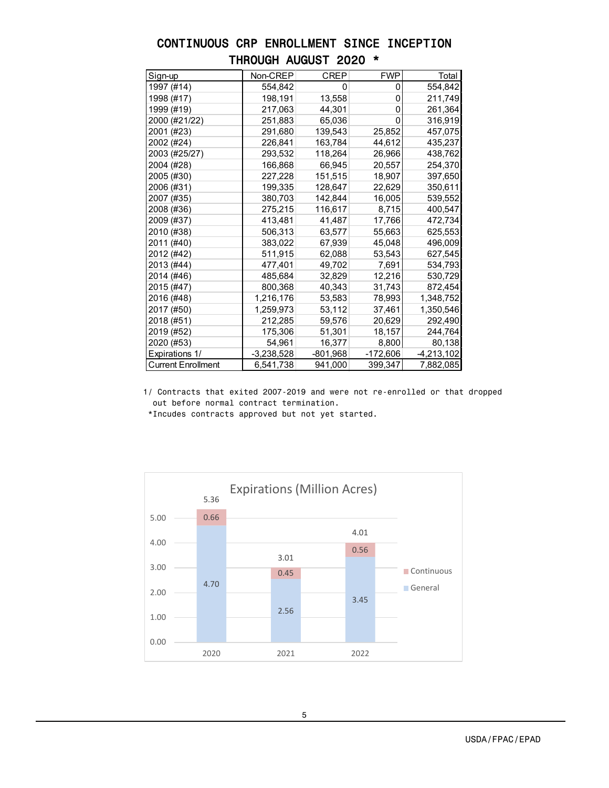### CONTINUOUS CRP ENROLLMENT SINCE INCEPTION THROUGH AUGUST 2020 \*

| Sign-up                   | Non-CREP     | <b>CREP</b> | <b>FWP</b> | Total        |
|---------------------------|--------------|-------------|------------|--------------|
| 1997 (#14)                | 554,842      | 0           | 0          | 554,842      |
| 1998 (#17)                | 198,191      | 13,558      | 0          | 211,749      |
| 1999 (#19)                | 217,063      | 44,301      | 0          | 261,364      |
| 2000 (#21/22)             | 251,883      | 65,036      | 0          | 316,919      |
| 2001 (#23)                | 291,680      | 139,543     | 25,852     | 457,075      |
| 2002 (#24)                | 226,841      | 163,784     | 44,612     | 435,237      |
| 2003 (#25/27)             | 293,532      | 118,264     | 26,966     | 438,762      |
| 2004 (#28)                | 166,868      | 66,945      | 20,557     | 254,370      |
| 2005 (#30)                | 227,228      | 151,515     | 18,907     | 397,650      |
| 2006 (#31)                | 199,335      | 128,647     | 22,629     | 350,611      |
| 2007 (#35)                | 380,703      | 142,844     | 16,005     | 539,552      |
| 2008 (#36)                | 275,215      | 116,617     | 8,715      | 400,547      |
| 2009 (#37)                | 413,481      | 41,487      | 17,766     | 472,734      |
| 2010 (#38)                | 506,313      | 63,577      | 55,663     | 625,553      |
| 2011 (#40)                | 383,022      | 67,939      | 45,048     | 496,009      |
| 2012 (#42)                | 511,915      | 62,088      | 53,543     | 627,545      |
| 2013 (#44)                | 477,401      | 49,702      | 7,691      | 534,793      |
| 2014 (#46)                | 485,684      | 32,829      | 12,216     | 530,729      |
| 2015 (#47)                | 800,368      | 40,343      | 31,743     | 872,454      |
| 2016 (#48)                | 1,216,176    | 53,583      | 78,993     | 1,348,752    |
| 2017 (#50)                | 1,259,973    | 53,112      | 37,461     | 1,350,546    |
| 2018 (#51)                | 212,285      | 59,576      | 20,629     | 292,490      |
| 2019 (#52)                | 175,306      | 51,301      | 18,157     | 244,764      |
| 2020 (#53)                | 54,961       | 16,377      | 8,800      | 80,138       |
| Expirations 1/            | $-3,238,528$ | $-801,968$  | -172,606   | $-4,213,102$ |
| <b>Current Enrollment</b> | 6,541,738    | 941,000     | 399,347    | 7,882,085    |

1/ Contracts that exited 2007-2019 and were not re-enrolled or that dropped out before normal contract termination.

\*Incudes contracts approved but not yet started.



5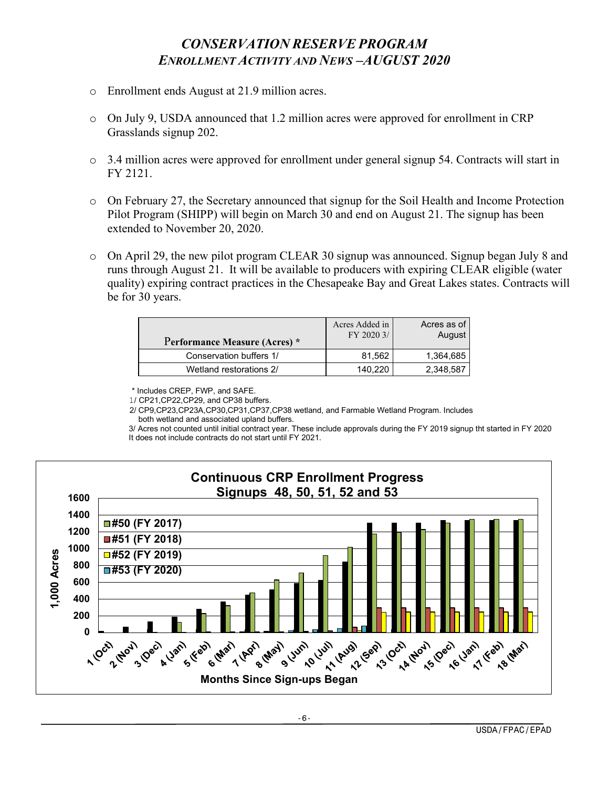# *CONSERVATION RESERVE PROGRAM ENROLLMENT ACTIVITY AND NEWS –AUGUST 2020*

- o Enrollment ends August at 21.9 million acres.
- $\circ$  On July 9, USDA announced that 1.2 million acres were approved for enrollment in CRP Grasslands signup 202.
- o 3.4 million acres were approved for enrollment under general signup 54. Contracts will start in FY 2121.
- o On February 27, the Secretary announced that signup for the Soil Health and Income Protection Pilot Program (SHIPP) will begin on March 30 and end on August 21. The signup has been extended to November 20, 2020.
- o On April 29, the new pilot program CLEAR 30 signup was announced. Signup began July 8 and runs through August 21. It will be available to producers with expiring CLEAR eligible (water quality) expiring contract practices in the Chesapeake Bay and Great Lakes states. Contracts will be for 30 years.

| Performance Measure (Acres) * | Acres Added in<br>FY 2020 3/ | Acres as of<br>August |
|-------------------------------|------------------------------|-----------------------|
| Conservation buffers 1/       | 81.562                       | 1,364,685             |
| Wetland restorations 2/       | 140.220                      | 2,348,587             |

\* Includes CREP, FWP, and SAFE.

1/ CP21,CP22,CP29, and CP38 buffers.

 2/ CP9,CP23,CP23A,CP30,CP31,CP37,CP38 wetland, and Farmable Wetland Program. Includes both wetland and associated upland buffers.

3/ Acres not counted until initial contract year. These include approvals during the FY 2019 signup tht started in FY 2020 It does not include contracts do not start until FY 2021.



-6-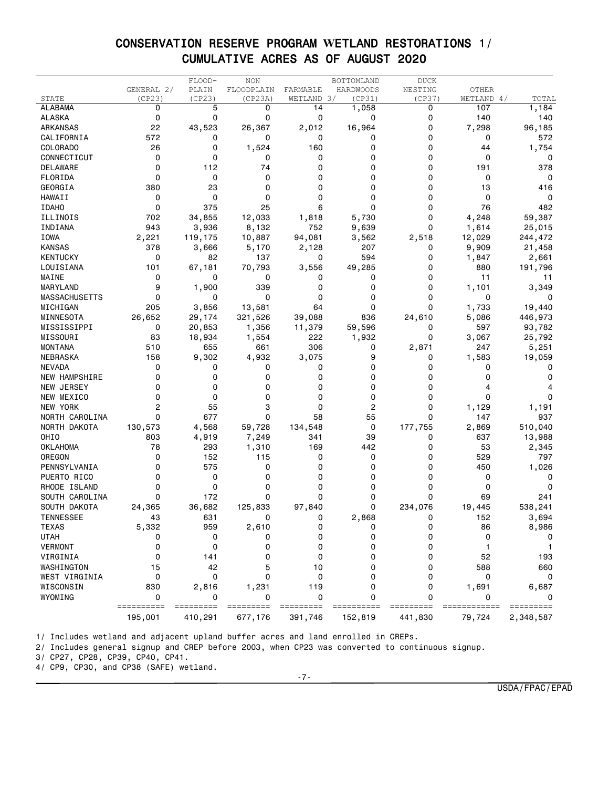### CONSERVATION RESERVE PROGRAM **W**ETLAND RESTORATIONS 1/ CUMULATIVE ACRES AS OF AUGUST 2020

|                      |            | FLOOD-  | <b>NON</b> |            | BOTTOMLAND       | <b>DUCK</b> |                  |                |
|----------------------|------------|---------|------------|------------|------------------|-------------|------------------|----------------|
|                      | GENERAL 2/ | PLAIN   | FLOODPLAIN | FARMABLE   | <b>HARDWOODS</b> | NESTING     | OTHER            |                |
| STATE                | (CP23)     | (CP23)  | (CP23A)    | WETLAND 3/ | (CP31)           | (CP37)      | WETLAND 4/       | TOTAL          |
| <b>ALABAMA</b>       | 0          | 5       | 0          | 14         | 1,058            | 0           | 107              | 1,184          |
| ALASKA               | 0          | 0       | 0          | 0          | 0                | 0           | 140              | 140            |
| <b>ARKANSAS</b>      | 22         | 43,523  | 26,367     | 2,012      | 16,964           | 0           | 7,298            | 96,185         |
| CALIFORNIA           | 572        | 0       | 0          | 0          | 0                | 0           | 0                | 572            |
| <b>COLORADO</b>      | 26         | 0       | 1,524      | 160        | 0                | 0           | 44               | 1,754          |
| CONNECTICUT          | 0          | 0       | 0          | 0          | 0                | 0           | 0                | 0              |
| DELAWARE             | 0          | 112     | 74         | 0          | 0                | 0           | 191              | 378            |
| FLORIDA              | 0          | 0       | 0          | 0          | 0                | 0           | 0                | 0              |
| GEORGIA              | 380        | 23      | 0          | 0          | 0                | 0           | 13               | 416            |
| <b>HAWAII</b>        | 0          | 0       | 0          | 0          | 0                | 0           | 0                | 0              |
| <b>IDAHO</b>         | 0          | 375     | 25         | 6          | 0                | 0           | 76               | 482            |
| ILLINOIS             | 702        | 34,855  | 12,033     | 1,818      | 5,730            | 0           | 4,248            | 59,387         |
| INDIANA              | 943        | 3,936   | 8,132      | 752        | 9,639            | 0           | 1,614            | 25,015         |
| IOWA                 | 2,221      | 119,175 | 10,887     | 94,081     | 3,562            | 2,518       | 12,029           | 244,472        |
| <b>KANSAS</b>        | 378        | 3,666   | 5,170      | 2,128      | 207              | 0           | 9,909            | 21,458         |
| <b>KENTUCKY</b>      | 0          | 82      | 137        | 0          | 594              | 0           | 1,847            | 2,661          |
| LOUISIANA            | 101        | 67,181  | 70,793     | 3,556      | 49,285           | 0           | 880              | 191,796        |
| MAINE                | 0          | 0       | 0          | 0          | 0                | 0           | 11               | 11             |
| MARYLAND             | 9          | 1,900   | 339        | 0          | 0                | 0           | 1,101            | 3,349          |
|                      | 0          | 0       | 0          | 0          | 0                | 0           | 0                |                |
| <b>MASSACHUSETTS</b> |            |         |            | 64         | 0                | 0           | 1,733            |                |
| MICHIGAN             | 205        | 3,856   | 13,581     |            |                  |             |                  | 19,440         |
| MINNESOTA            | 26,652     | 29,174  | 321,526    | 39,088     | 836              | 24,610      | 5,086            | 446,973        |
| MISSISSIPPI          | 0          | 20,853  | 1,356      | 11,379     | 59,596           | 0           | 597              | 93,782         |
| MISSOURI             | 83         | 18,934  | 1,554      | 222        | 1,932            | 0           | 3,067            | 25,792         |
| <b>MONTANA</b>       | 510        | 655     | 661        | 306        | 0                | 2,871       | 247              | 5,251          |
| <b>NEBRASKA</b>      | 158        | 9,302   | 4,932      | 3,075      | 9                | 0           | 1,583            | 19,059         |
| <b>NEVADA</b>        | 0          | 0       | 0          | 0          | 0                | 0           | 0                | 0              |
| NEW HAMPSHIRE        | 0          | 0       | 0          | 0          | 0                | 0           | 0                | 0              |
| NEW JERSEY           | 0          | 0       | 0          | 0          | 0                | 0           |                  |                |
| NEW MEXICO           | 0          | 0       | 0          | 0          | 0                | 0           | 0                | 0              |
| NEW YORK             | 2          | 55      | 3          | 0          | 2                | 0           | 1,129            | 1,191          |
| NORTH CAROLINA       | 0          | 677     | 0          | 58         | 55               | 0           | 147              | 937            |
| NORTH DAKOTA         | 130,573    | 4,568   | 59,728     | 134,548    | 0                | 177,755     | 2,869            | 510,040        |
| OHIO                 | 803        | 4,919   | 7,249      | 341        | 39               | 0           | 637              | 13,988         |
| <b>OKLAHOMA</b>      | 78         | 293     | 1,310      | 169        | 442              | 0           | 53               | 2,345          |
| OREGON               | 0          | 152     | 115        | 0          | 0                | 0           | 529              | 797            |
| PENNSYLVANIA         | 0          | 575     | 0          | 0          | 0                | 0           | 450              | 1,026          |
| PUERTO RICO          | 0          | 0       | 0          | 0          | 0                | 0           | 0                | 0              |
| RHODE ISLAND         | 0          | 0       | 0          | 0          | 0                | 0           | 0                | 0              |
| SOUTH CAROLINA       | 0          | 172     | 0          | 0          | 0                | 0           | 69               | 241            |
| SOUTH DAKOTA         | 24,365     | 36,682  | 125,833    | 97,840     | 0                | 234,076     | 19,445           | 538,241        |
| <b>TENNESSEE</b>     | 43         | 631     | 0          | 0          | 2,868            | 0           | 152              | 3,694          |
| <b>TEXAS</b>         | 5,332      | 959     | 2,610      | 0          | 0                | 0           | 86               | 8,986          |
| <b>UTAH</b>          | 0          | 0       | 0          | 0          | $\Omega$         | $\Omega$    | 0                |                |
| <b>VERMONT</b>       | 0          | 0       | 0          | 0          | 0                | 0           |                  |                |
| VIRGINIA             | 0          | 141     | 0          | 0          | 0                | 0           | 52               | 193            |
| WASHINGTON           | 15         | 42      | 5          | 10         | 0                | 0           | 588              | 660            |
| WEST VIRGINIA        | 0          | 0       | $\Omega$   | 0          | 0                | 0           | 0                | 0              |
| WISCONSIN            | 830        |         |            | 119        | 0                | 0           |                  |                |
|                      | 0          | 2,816   | 1,231      | 0          | 0                | 0           | 1,691<br>0       | 6,687          |
| WYOMING              | ========== | 0       | 0          | ===        |                  |             | ======<br>====== | 0<br>========= |
|                      | 195,001    | 410,291 | 677,176    | 391,746    | 152,819          | 441,830     | 79,724           | 2,348,587      |

1/ Includes wetland and adjacent upland buffer acres and land enrolled in CREPs.

2/ Includes general signup and CREP before 2003, when CP23 was converted to continuous signup.

3/ CP27, CP28, CP39, CP40, CP41.

4/ CP9, CP30, and CP38 (SAFE) wetland.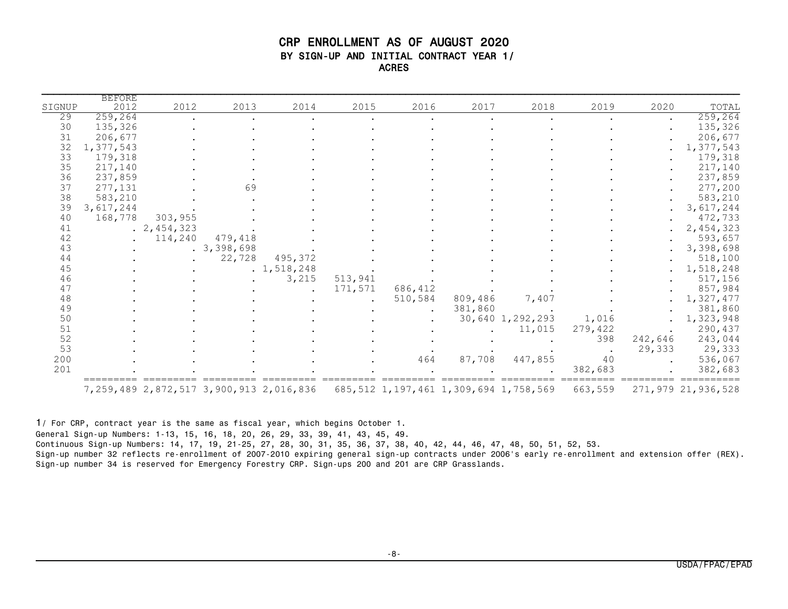#### CRP ENROLLMENT AS OF AUGUST 2020 BY SIGN-UP AND INITIAL CONTRACT YEAR 1/ ACRES

| SIGNUP | <b>BEFORE</b><br>2012 | 2012        | 2013       | 2014                                            | 2015    | 2016    | 2017                                         | 2018             | 2019    | 2020      | TOTAL              |
|--------|-----------------------|-------------|------------|-------------------------------------------------|---------|---------|----------------------------------------------|------------------|---------|-----------|--------------------|
| 29     | 259,264               |             |            |                                                 |         |         |                                              |                  |         |           | 259, 264           |
| 30     | 135,326               |             |            |                                                 |         |         |                                              |                  |         | $\bullet$ | 135,326            |
| 31     | 206,677               |             |            |                                                 |         |         |                                              |                  |         |           | 206,677            |
| 32     | 1,377,543             |             |            |                                                 |         |         |                                              |                  |         |           | 1,377,543          |
| 33     | 179,318               |             |            |                                                 |         |         |                                              |                  |         |           | 179,318            |
| 35     | 217,140               |             |            |                                                 |         |         |                                              |                  |         |           | 217,140            |
|        |                       |             |            |                                                 |         |         |                                              |                  |         |           |                    |
| 36     | 237,859               |             |            |                                                 |         |         |                                              |                  |         |           | 237,859            |
| 37     | 277,131               |             | 69         |                                                 |         |         |                                              |                  |         |           | 277,200            |
| 38     | 583,210               |             |            |                                                 |         |         |                                              |                  |         |           | 583,210            |
| 39     | 3,617,244             |             |            |                                                 |         |         |                                              |                  |         |           | 3,617,244          |
| 40     | 168,778               | 303,955     |            |                                                 |         |         |                                              |                  |         |           | 472,733            |
| 41     |                       | . 2,454,323 |            |                                                 |         |         |                                              |                  |         |           | 2,454,323          |
| 42     |                       | 114,240     | 479,418    |                                                 |         |         |                                              |                  |         |           | 593,657            |
| 43     |                       |             | .3,398,698 |                                                 |         |         |                                              |                  |         |           | 3,398,698          |
| 44     |                       |             | 22,728     | 495,372                                         |         |         |                                              |                  |         |           | 518,100            |
| 45     |                       |             |            | . 1, 518, 248                                   |         |         |                                              |                  |         |           | 1,518,248          |
| 46     |                       |             |            | 3,215                                           | 513,941 |         |                                              |                  |         |           | 517,156            |
| 47     |                       |             |            |                                                 | 171,571 | 686,412 |                                              |                  |         |           | 857,984            |
| 48     |                       |             |            |                                                 |         | 510,584 | 809,486                                      | 7,407            |         |           | 1,327,477          |
| 49     |                       |             |            |                                                 |         |         | 381,860                                      |                  |         |           | 381,860            |
| 50     |                       |             |            |                                                 |         |         |                                              | 30,640 1,292,293 | 1,016   |           | 1,323,948          |
| 51     |                       |             |            |                                                 |         |         |                                              | 11,015           | 279,422 |           | 290,437            |
| 52     |                       |             |            |                                                 |         |         |                                              |                  | 398     | 242,646   | 243,044            |
| 53     |                       |             |            |                                                 |         |         |                                              |                  |         | 29,333    | 29,333             |
| 200    |                       |             |            |                                                 |         | 464     | 87,708                                       | 447,855          | 40      |           | 536,067            |
| 201    |                       |             |            |                                                 |         |         |                                              |                  | 382.683 |           | 382,683            |
|        |                       |             |            | 7, 259, 489 2, 872, 517 3, 900, 913 2, 016, 836 |         |         | 685, 512 1, 197, 461 1, 309, 694 1, 758, 569 |                  | 663,559 |           | 271,979 21,936,528 |

1/ For CRP, contract year is the same as fiscal year, which begins October 1.

General Sign-up Numbers: 1-13, 15, 16, 18, 20, 26, 29, 33, 39, 41, 43, 45, 49.

Continuous Sign-up Numbers: 14, 17, 19, 21-25, 27, 28, 30, 31, 35, 36, 37, 38, 40, 42, 44, 46, 47, 48, 50, 51, 52, 53.

Sign-up number 32 reflects re-enrollment of 2007-2010 expiring general sign-up contracts under 2006's early re-enrollment and extension offer (REX). Sign-up number 34 is reserved for Emergency Forestry CRP. Sign-ups 200 and 201 are CRP Grasslands.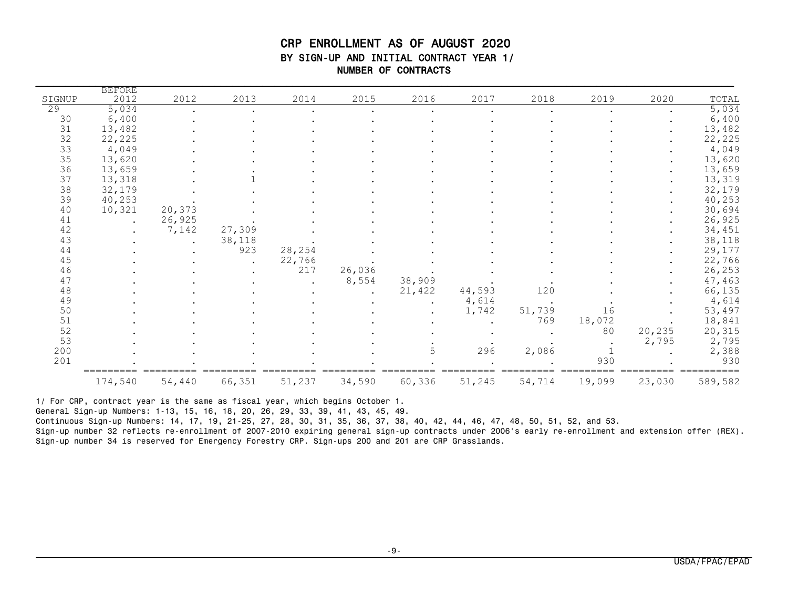### CRP ENROLLMENT AS OF AUGUST 2020 BY SIGN-UP AND INITIAL CONTRACT YEAR 1/ NUMBER OF CONTRACTS

|        | <b>BEFORE</b> |        |        |        |        |        |        |        |        |        |         |
|--------|---------------|--------|--------|--------|--------|--------|--------|--------|--------|--------|---------|
| SIGNUP | 2012          | 2012   | 2013   | 2014   | 2015   | 2016   | 2017   | 2018   | 2019   | 2020   | TOTAL   |
| 29     | 5,034         |        |        |        |        |        |        |        |        |        | 5,034   |
| 30     | 6,400         |        |        |        |        |        |        |        |        |        | 6,400   |
| 31     | 13,482        |        |        |        |        |        |        |        |        |        | 13,482  |
| 32     | 22,225        |        |        |        |        |        |        |        |        |        | 22,225  |
| 33     | 4,049         |        |        |        |        |        |        |        |        |        | 4,049   |
| 35     | 13,620        |        |        |        |        |        |        |        |        |        | 13,620  |
| 36     | 13,659        |        |        |        |        |        |        |        |        |        | 13,659  |
| 37     | 13,318        |        |        |        |        |        |        |        |        |        | 13,319  |
| 38     | 32,179        |        |        |        |        |        |        |        |        |        | 32,179  |
| 39     | 40,253        |        |        |        |        |        |        |        |        |        | 40,253  |
| 40     | 10,321        | 20,373 |        |        |        |        |        |        |        |        | 30,694  |
| 41     |               | 26,925 |        |        |        |        |        |        |        |        | 26,925  |
| 42     |               | 7,142  | 27,309 |        |        |        |        |        |        |        | 34,451  |
| 43     |               |        | 38,118 |        |        |        |        |        |        |        | 38,118  |
| 44     |               |        | 923    | 28,254 |        |        |        |        |        |        | 29,177  |
| 45     |               |        |        | 22,766 |        |        |        |        |        |        | 22,766  |
| 46     |               |        |        | 217    | 26,036 |        |        |        |        |        | 26,253  |
| 47     |               |        |        |        | 8,554  | 38,909 |        |        |        |        | 47,463  |
| 48     |               |        |        |        |        | 21,422 | 44,593 | 120    |        |        | 66,135  |
| 49     |               |        |        |        |        |        | 4,614  |        |        |        | 4,614   |
| 50     |               |        |        |        |        |        | 1,742  | 51,739 | 16     |        | 53,497  |
| 51     |               |        |        |        |        |        |        | 769    | 18,072 |        | 18,841  |
| 52     |               |        |        |        |        |        |        |        | 80     | 20,235 | 20,315  |
| 53     |               |        |        |        |        |        |        |        |        | 2,795  | 2,795   |
| 200    |               |        |        |        |        | 5      | 296    | 2,086  |        |        | 2,388   |
| 201    |               |        |        |        |        |        |        |        | 930    |        | 930     |
|        | 174,540       | 54,440 | 66,351 | 51,237 | 34,590 | 60,336 | 51,245 | 54,714 | 19,099 | 23,030 | 589,582 |

1/ For CRP, contract year is the same as fiscal year, which begins October 1.

General Sign-up Numbers: 1-13, 15, 16, 18, 20, 26, 29, 33, 39, 41, 43, 45, 49.

Continuous Sign-up Numbers: 14, 17, 19, 21-25, 27, 28, 30, 31, 35, 36, 37, 38, 40, 42, 44, 46, 47, 48, 50, 51, 52, and 53.

Sign-up number 32 reflects re-enrollment of 2007-2010 expiring general sign-up contracts under 2006's early re-enrollment and extension offer (REX). Sign-up number 34 is reserved for Emergency Forestry CRP. Sign-ups 200 and 201 are CRP Grasslands.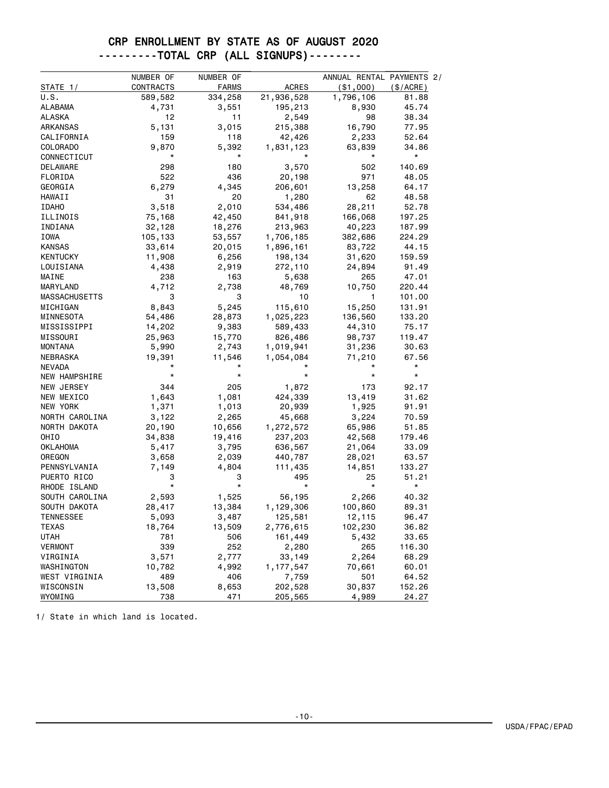### CRP ENROLLMENT BY STATE AS OF AUGUST 2020 ---------TOTAL CRP (ALL SIGNUPS)--------

|                      | NUMBER OF | NUMBER OF    |              | ANNUAL RENTAL PAYMENTS 2/ |            |
|----------------------|-----------|--------------|--------------|---------------------------|------------|
| STATE 1/             | CONTRACTS | <b>FARMS</b> | <b>ACRES</b> | ( \$1,000)                | (S/ACRE)   |
| U.S.                 | 589,582   | 334,258      | 21,936,528   | 1,796,106                 | 81.88      |
| ALABAMA              | 4,731     | 3,551        | 195,213      | 8,930                     | 45.74      |
| ALASKA               | 12        | 11           | 2,549        | 98                        | 38.34      |
| ARKANSAS             | 5,131     | 3,015        | 215,388      | 16,790                    | 77.95      |
| CALIFORNIA           | 159       | 118          | 42,426       | 2,233                     | 52.64      |
| COLORADO             | 9,870     | 5,392        | 1,831,123    | 63,839                    | 34.86      |
| CONNECTICUT          | *         | *            |              | *                         | $^{\star}$ |
| DELAWARE             | 298       | 180          | 3,570        | 502                       | 140.69     |
| FLORIDA              | 522       | 436          | 20,198       | 971                       | 48.05      |
| GEORGIA              | 6,279     | 4,345        | 206,601      | 13,258                    | 64.17      |
| <b>HAWAII</b>        | 31        | 20           | 1,280        | 62                        | 48.58      |
| <b>IDAHO</b>         | 3,518     | 2,010        | 534,486      | 28,211                    | 52.78      |
| ILLINOIS             | 75,168    | 42,450       | 841,918      | 166,068                   | 197.25     |
| INDIANA              | 32,128    | 18,276       | 213,963      | 40,223                    | 187.99     |
| IOWA                 | 105,133   | 53,557       | 1,706,185    | 382,686                   | 224.29     |
| <b>KANSAS</b>        | 33,614    | 20,015       | 1,896,161    | 83,722                    | 44.15      |
| <b>KENTUCKY</b>      | 11,908    | 6,256        | 198,134      | 31,620                    | 159.59     |
| LOUISIANA            | 4,438     | 2,919        | 272,110      | 24,894                    | 91.49      |
| MAINE                | 238       | 163          | 5,638        | 265                       | 47.01      |
| MARYLAND             | 4,712     | 2,738        | 48,769       | 10,750                    | 220.44     |
| <b>MASSACHUSETTS</b> | 3         | 3            | 10           | 1                         | 101.00     |
| MICHIGAN             | 8,843     | 5,245        | 115,610      | 15,250                    | 131.91     |
| MINNESOTA            | 54,486    | 28,873       | 1,025,223    | 136,560                   | 133.20     |
| MISSISSIPPI          | 14,202    | 9,383        | 589,433      | 44,310                    | 75.17      |
| MISSOURI             | 25,963    | 15,770       | 826,486      | 98,737                    | 119.47     |
| MONTANA              | 5,990     | 2,743        | 1,019,941    | 31,236                    | 30.63      |
| NEBRASKA             | 19,391    | 11,546       | 1,054,084    | 71,210                    | 67.56      |
| <b>NEVADA</b>        |           |              |              |                           | $^\star$   |
| NEW HAMPSHIRE        | $^\star$  | $^\star$     | $^\star$     | *                         | $^\star$   |
| NEW JERSEY           | 344       | 205          | 1,872        | 173                       | 92.17      |
| NEW MEXICO           | 1,643     | 1,081        | 424,339      | 13,419                    | 31.62      |
| NEW YORK             | 1,371     | 1,013        | 20,939       | 1,925                     | 91.91      |
| NORTH CAROLINA       | 3,122     | 2,265        | 45,668       | 3,224                     | 70.59      |
| NORTH DAKOTA         | 20,190    | 10,656       | 1,272,572    | 65,986                    | 51.85      |
| OHIO                 | 34,838    | 19,416       | 237,203      | 42,568                    | 179.46     |
| OKLAHOMA             | 5,417     | 3,795        | 636,567      | 21,064                    | 33.09      |
| OREGON               | 3,658     | 2,039        | 440,787      | 28,021                    | 63.57      |
| PENNSYLVANIA         | 7,149     | 4,804        | 111,435      | 14,851                    | 133.27     |
| PUERTO RICO          | 3         | З            | 495          | 25                        | 51.21      |
| RHODE ISLAND         | $^\star$  | *            | *            | $^\star$                  | $^\star$   |
| SOUTH CAROLINA       | 2,593     | 1,525        | 56,195       | 2,266                     | 40.32      |
| SOUTH DAKOTA         | 28,417    | 13,384       | 1,129,306    | 100,860                   | 89.31      |
| <b>TENNESSEE</b>     | 5,093     | 3,487        | 125,581      | 12,115                    | 96.47      |
| TEXAS                | 18,764    | 13,509       | 2,776,615    | 102,230                   | 36.82      |
| <b>UTAH</b>          | 781       | 506          | 161,449      | 5,432                     | 33.65      |
| <b>VERMONT</b>       | 339       | 252          | 2,280        | 265                       | 116.30     |
| VIRGINIA             | 3,571     | 2,777        | 33,149       | 2,264                     | 68.29      |
| WASHINGTON           | 10,782    | 4,992        | 1,177,547    | 70,661                    | 60.01      |
| WEST VIRGINIA        | 489       | 406          | 7,759        | 501                       | 64.52      |
| WISCONSIN            | 13,508    | 8,653        | 202,528      | 30,837                    | 152.26     |
| WYOMING              | 738       | 471          | 205,565      | 4,989                     | 24.27      |

1/ State in which land is located.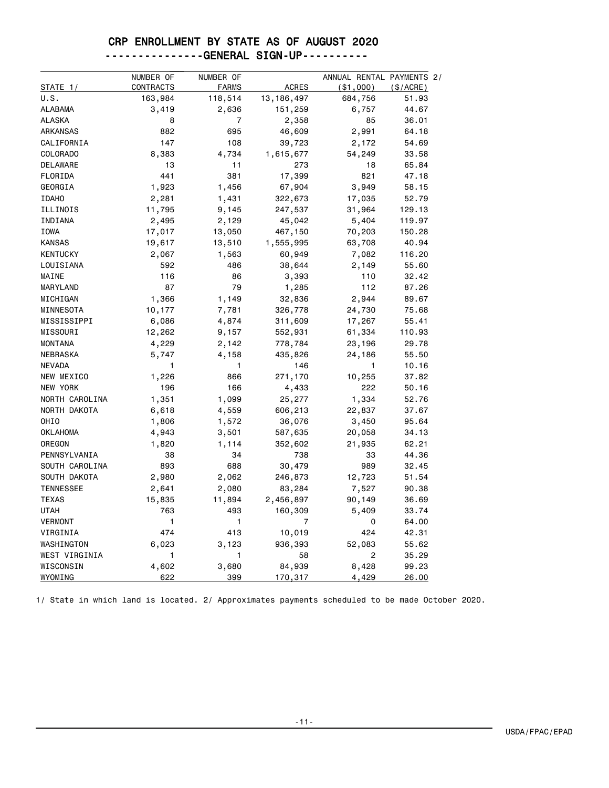### ---------------GENERAL SIGN-UP----------

|                  | NUMBER OF | NUMBER OF    |              | ANNUAL RENTAL PAYMENTS 2/ |           |
|------------------|-----------|--------------|--------------|---------------------------|-----------|
| STATE 1/         | CONTRACTS | <b>FARMS</b> | <b>ACRES</b> | $($ \$1,000 $)$           | (\$/ACRE) |
| U.S.             | 163,984   | 118,514      | 13, 186, 497 | 684,756                   | 51.93     |
| <b>ALABAMA</b>   | 3,419     | 2,636        | 151,259      | 6,757                     | 44.67     |
| <b>ALASKA</b>    | 8         | 7            | 2,358        | 85                        | 36.01     |
| <b>ARKANSAS</b>  | 882       | 695          | 46,609       | 2,991                     | 64.18     |
| CALIFORNIA       | 147       | 108          | 39,723       | 2,172                     | 54.69     |
| <b>COLORADO</b>  | 8,383     | 4,734        | 1,615,677    | 54,249                    | 33.58     |
| <b>DELAWARE</b>  | 13        | 11           | 273          | 18                        | 65.84     |
| FLORIDA          | 441       | 381          | 17,399       | 821                       | 47.18     |
| GEORGIA          | 1,923     | 1,456        | 67,904       | 3,949                     | 58.15     |
| <b>IDAHO</b>     | 2,281     | 1,431        | 322,673      | 17,035                    | 52.79     |
| ILLINOIS         | 11,795    | 9,145        | 247,537      | 31,964                    | 129.13    |
| INDIANA          | 2,495     | 2,129        | 45,042       | 5,404                     | 119.97    |
| IOWA             | 17,017    | 13,050       | 467,150      | 70,203                    | 150.28    |
| <b>KANSAS</b>    | 19,617    | 13,510       | 1,555,995    | 63,708                    | 40.94     |
| <b>KENTUCKY</b>  | 2,067     | 1,563        | 60,949       | 7,082                     | 116.20    |
| LOUISIANA        | 592       | 486          | 38,644       | 2,149                     | 55.60     |
| MAINE            | 116       | 86           | 3,393        | 110                       | 32.42     |
| MARYLAND         | 87        | 79           | 1,285        | 112                       | 87.26     |
| MICHIGAN         | 1,366     | 1,149        | 32,836       | 2,944                     | 89.67     |
| MINNESOTA        | 10,177    | 7,781        | 326,778      | 24,730                    | 75.68     |
| MISSISSIPPI      | 6,086     | 4,874        | 311,609      | 17,267                    | 55.41     |
| MISSOURI         | 12,262    | 9,157        | 552,931      | 61,334                    | 110.93    |
| <b>MONTANA</b>   | 4,229     | 2,142        | 778,784      | 23,196                    | 29.78     |
| <b>NEBRASKA</b>  | 5,747     | 4,158        | 435,826      | 24,186                    | 55.50     |
| <b>NEVADA</b>    | 1         | 1            | 146          | 1                         | 10.16     |
| NEW MEXICO       | 1,226     | 866          | 271,170      | 10,255                    | 37.82     |
| NEW YORK         | 196       | 166          | 4,433        | 222                       | 50.16     |
| NORTH CAROLINA   | 1,351     | 1,099        | 25,277       | 1,334                     | 52.76     |
| NORTH DAKOTA     | 6,618     | 4,559        | 606,213      | 22,837                    | 37.67     |
| OHIO             | 1,806     | 1,572        | 36,076       | 3,450                     | 95.64     |
| OKLAHOMA         | 4,943     | 3,501        | 587,635      | 20,058                    | 34.13     |
| OREGON           | 1,820     | 1,114        | 352,602      | 21,935                    | 62.21     |
| PENNSYLVANIA     | 38        | 34           | 738          | 33                        | 44.36     |
| SOUTH CAROLINA   | 893       | 688          | 30,479       | 989                       | 32.45     |
| SOUTH DAKOTA     | 2,980     | 2,062        | 246,873      | 12,723                    | 51.54     |
| <b>TENNESSEE</b> | 2,641     | 2,080        | 83,284       | 7,527                     | 90.38     |
| <b>TEXAS</b>     | 15,835    | 11,894       | 2,456,897    | 90,149                    | 36.69     |
| <b>UTAH</b>      | 763       | 493          | 160,309      | 5,409                     | 33.74     |
| <b>VERMONT</b>   | 1         | 1            | 7            | 0                         | 64.00     |
| VIRGINIA         | 474       | 413          | 10,019       | 424                       | 42.31     |
| WASHINGTON       | 6,023     | 3,123        | 936,393      | 52,083                    | 55.62     |
| WEST VIRGINIA    | 1         | 1            | 58           | 2                         | 35.29     |
| WISCONSIN        | 4,602     | 3,680        | 84,939       | 8,428                     | 99.23     |
| WYOMING          | 622       | 399          | 170,317      | 4,429                     | 26.00     |

1/ State in which land is located. 2/ Approximates payments scheduled to be made October 2020.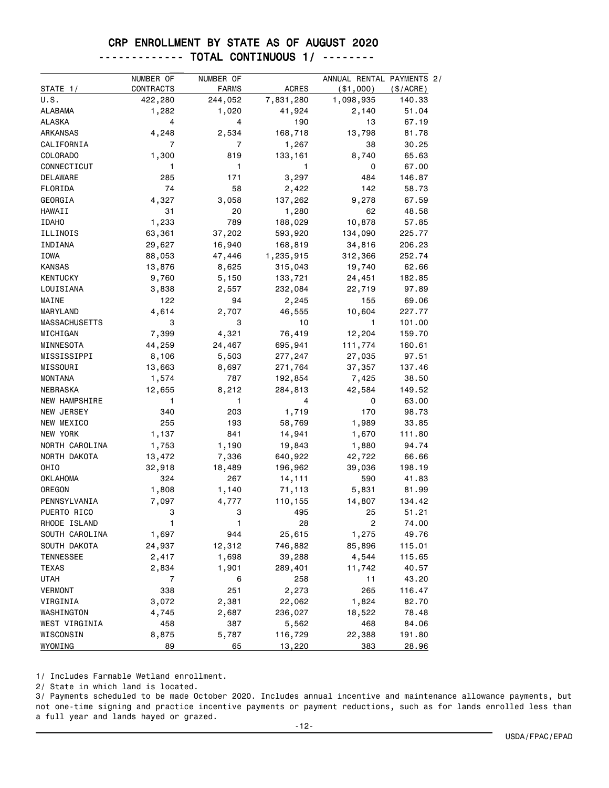| ------------ TOTAL CONTINUOUS 1/ -------- |  |  |  |  |
|-------------------------------------------|--|--|--|--|
|-------------------------------------------|--|--|--|--|

|                      | NUMBER OF | NUMBER OF |              | ANNUAL RENTAL PAYMENTS 2/ |           |
|----------------------|-----------|-----------|--------------|---------------------------|-----------|
| STATE 1/             | CONTRACTS | FARMS     | <b>ACRES</b> | ( \$1,000)                | (\$/ACRE) |
| U.S.                 | 422,280   | 244,052   | 7,831,280    | 1,098,935                 | 140.33    |
| <b>ALABAMA</b>       | 1,282     | 1,020     | 41,924       | 2,140                     | 51.04     |
| ALASKA               | 4         | 4         | 190          | 13                        | 67.19     |
| ARKANSAS             | 4,248     | 2,534     | 168,718      | 13,798                    | 81.78     |
| CALIFORNIA           | 7         | 7         | 1,267        | 38                        | 30.25     |
| COLORADO             | 1,300     | 819       | 133,161      | 8,740                     | 65.63     |
| CONNECTICUT          | 1         | 1         | 1            | 0                         | 67.00     |
| DELAWARE             | 285       | 171       | 3,297        | 484                       | 146.87    |
| FLORIDA              | 74        | 58        | 2,422        | 142                       | 58.73     |
| GEORGIA              | 4,327     | 3,058     | 137,262      | 9,278                     | 67.59     |
| HAWAII               | 31        | 20        | 1,280        | 62                        | 48.58     |
| <b>IDAHO</b>         | 1,233     | 789       | 188,029      | 10,878                    | 57.85     |
| ILLINOIS             | 63,361    | 37,202    | 593,920      | 134,090                   | 225.77    |
| INDIANA              | 29,627    | 16,940    | 168,819      | 34,816                    | 206.23    |
| IOWA                 | 88,053    | 47,446    | 1,235,915    | 312,366                   | 252.74    |
| <b>KANSAS</b>        | 13,876    | 8,625     | 315,043      | 19,740                    | 62.66     |
| <b>KENTUCKY</b>      | 9,760     | 5,150     | 133,721      | 24,451                    | 182.85    |
| LOUISIANA            | 3,838     | 2,557     | 232,084      | 22,719                    | 97.89     |
| MAINE                | 122       | 94        | 2,245        | 155                       | 69.06     |
| MARYLAND             | 4,614     | 2,707     | 46,555       | 10,604                    | 227.77    |
| <b>MASSACHUSETTS</b> | 3         | 3         | 10           | 1                         | 101.00    |
| MICHIGAN             | 7,399     | 4,321     | 76,419       | 12,204                    | 159.70    |
| MINNESOTA            | 44,259    | 24,467    | 695,941      | 111,774                   | 160.61    |
| MISSISSIPPI          | 8,106     | 5,503     | 277,247      | 27,035                    | 97.51     |
| MISSOURI             | 13,663    | 8,697     | 271,764      | 37,357                    | 137.46    |
| <b>MONTANA</b>       | 1,574     | 787       | 192,854      | 7,425                     | 38.50     |
| NEBRASKA             | 12,655    | 8,212     | 284,813      | 42,584                    | 149.52    |
| NEW HAMPSHIRE        | 1         | 1         | 4            | 0                         | 63.00     |
| NEW JERSEY           | 340       | 203       | 1,719        | 170                       | 98.73     |
| NEW MEXICO           | 255       | 193       | 58,769       | 1,989                     | 33.85     |
| NEW YORK             | 1,137     | 841       | 14,941       | 1,670                     | 111.80    |
| NORTH CAROLINA       | 1,753     | 1,190     | 19,843       | 1,880                     | 94.74     |
| NORTH DAKOTA         | 13,472    | 7,336     | 640,922      | 42,722                    | 66.66     |
| OHIO                 | 32,918    | 18,489    | 196,962      | 39,036                    | 198.19    |
| <b>OKLAHOMA</b>      | 324       | 267       | 14,111       | 590                       | 41.83     |
| OREGON               | 1,808     | 1,140     | 71,113       | 5,831                     | 81.99     |
| PENNSYLVANIA         | 7,097     | 4,777     | 110,155      | 14,807                    | 134.42    |
| PUERTO RICO          | 3         | 3         | 495          | 25                        | 51.21     |
| RHODE ISLAND         | 1         | 1         | 28           | 2                         | 74.00     |
| SOUTH CAROLINA       | 1,697     | 944       | 25,615       | 1,275                     | 49.76     |
| SOUTH DAKOTA         | 24,937    | 12,312    | 746,882      | 85,896                    | 115.01    |
| <b>TENNESSEE</b>     | 2,417     | 1,698     | 39,288       | 4,544                     | 115.65    |
| <b>TEXAS</b>         | 2,834     | 1,901     | 289,401      | 11,742                    | 40.57     |
| <b>UTAH</b>          | 7         | 6         | 258          | 11                        | 43.20     |
| <b>VERMONT</b>       | 338       | 251       | 2,273        | 265                       | 116.47    |
| VIRGINIA             | 3,072     | 2,381     | 22,062       | 1,824                     | 82.70     |
| WASHINGTON           | 4,745     | 2,687     | 236,027      | 18,522                    | 78.48     |
| WEST VIRGINIA        | 458       | 387       | 5,562        | 468                       | 84.06     |
| WISCONSIN            | 8,875     | 5,787     | 116,729      | 22,388                    | 191.80    |
| WYOMING              | 89        | 65        | 13,220       | 383                       | 28.96     |

1/ Includes Farmable Wetland enrollment.

2/ State in which land is located.

3/ Payments scheduled to be made October 2020. Includes annual incentive and maintenance allowance payments, but not one-time signing and practice incentive payments or payment reductions, such as for lands enrolled less than a full year and lands hayed or grazed.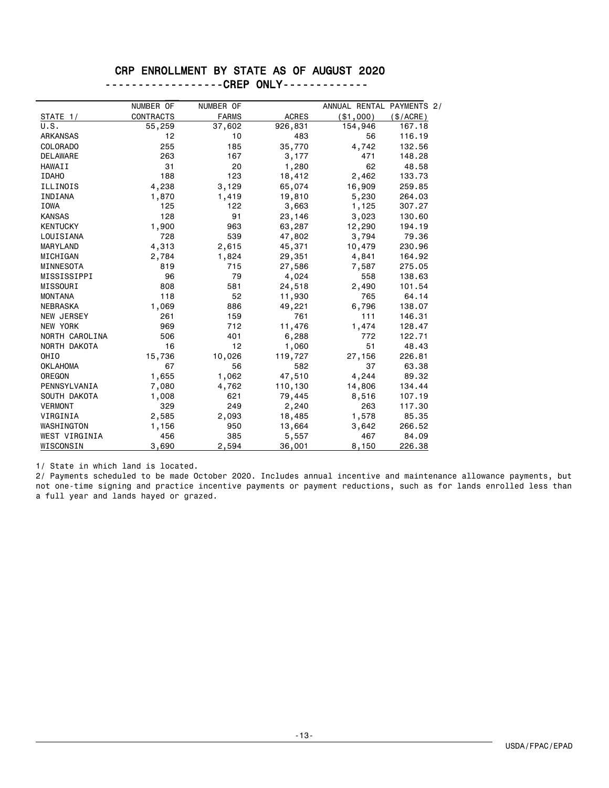#### ------------------CREP ONLY-------------

| NUMBER OF<br>NUMBER OF<br>ANNUAL RENTAL PAYMENTS 2/                                     |  |
|-----------------------------------------------------------------------------------------|--|
| <b>ACRES</b><br><b>CONTRACTS</b><br><b>FARMS</b><br>( \$1,000)<br>STATE 1/<br>(\$/ACRE) |  |
| U.S.<br>55,259<br>37,602<br>926,831<br>154,946<br>167.18                                |  |
| 12<br><b>ARKANSAS</b><br>10<br>483<br>56<br>116.19                                      |  |
| 255<br>185<br>35,770<br><b>COLORADO</b><br>4,742<br>132.56                              |  |
| <b>DELAWARE</b><br>263<br>167<br>3,177<br>471<br>148.28                                 |  |
| 31<br>20<br>62<br>48.58<br><b>HAWAII</b><br>1,280                                       |  |
| 123<br><b>IDAHO</b><br>188<br>2,462<br>133.73<br>18,412                                 |  |
| 16,909<br>259.85<br>ILLINOIS<br>4,238<br>3,129<br>65,074                                |  |
| 19,810<br>5,230<br>264.03<br>INDIANA<br>1,870<br>1,419                                  |  |
| 307.27<br><b>IOWA</b><br>125<br>122<br>3,663<br>1,125                                   |  |
| 128<br><b>KANSAS</b><br>91<br>23,146<br>3,023<br>130.60                                 |  |
| <b>KENTUCKY</b><br>1,900<br>12,290<br>963<br>63,287<br>194.19                           |  |
| 728<br>539<br>3,794<br>LOUISIANA<br>47,802<br>79.36                                     |  |
| 4,313<br>2,615<br>10,479<br>230.96<br>MARYLAND<br>45,371                                |  |
| MICHIGAN<br>2,784<br>1,824<br>29,351<br>4,841<br>164.92                                 |  |
| 819<br>715<br>7,587<br>MINNESOTA<br>27,586<br>275.05                                    |  |
| MISSISSIPPI<br>96<br>79<br>4,024<br>558<br>138,63                                       |  |
| 808<br>2,490<br>101.54<br>MISSOURI<br>581<br>24,518                                     |  |
| 118<br>52<br>11,930<br>765<br>64.14<br><b>MONTANA</b>                                   |  |
| 1,069<br>886<br>6,796<br><b>NEBRASKA</b><br>49,221<br>138,07                            |  |
| <b>NEW JERSEY</b><br>261<br>159<br>761<br>111<br>146.31                                 |  |
| 969<br><b>NEW YORK</b><br>712<br>11,476<br>1,474<br>128.47                              |  |
| NORTH CAROLINA<br>506<br>401<br>6,288<br>772<br>122.71                                  |  |
| NORTH DAKOTA<br>16<br>12<br>1,060<br>51<br>48.43                                        |  |
| OHIO<br>10,026<br>15,736<br>119,727<br>27,156<br>226,81                                 |  |
| <b>OKLAHOMA</b><br>67<br>56<br>582<br>37<br>63.38                                       |  |
| OREGON<br>47,510<br>4,244<br>89.32<br>1,655<br>1,062                                    |  |
| PENNSYLVANIA<br>7,080<br>110,130<br>14,806<br>134.44<br>4,762                           |  |
| 621<br>SOUTH DAKOTA<br>1,008<br>79,445<br>8,516<br>107.19                               |  |
| 329<br>249<br>263<br><b>VERMONT</b><br>2,240<br>117.30                                  |  |
| 1,578<br>VIRGINIA<br>2,585<br>2,093<br>18,485<br>85.35                                  |  |
| 950<br>266.52<br>WASHINGTON<br>1,156<br>13,664<br>3,642                                 |  |
| 385<br>84.09<br><b>WEST VIRGINIA</b><br>456<br>467<br>5,557                             |  |
| WISCONSIN<br>3,690<br>2,594<br>36,001<br>8,150<br>226.38                                |  |

1/ State in which land is located.

2/ Payments scheduled to be made October 2020. Includes annual incentive and maintenance allowance payments, but not one-time signing and practice incentive payments or payment reductions, such as for lands enrolled less than a full year and lands hayed or grazed.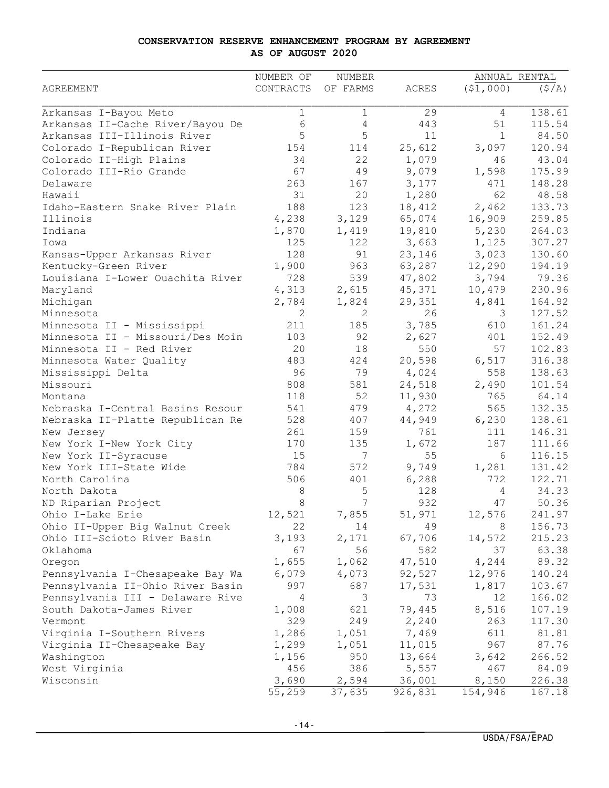#### **CONSERVATION RESERVE ENHANCEMENT PROGRAM BY AGREEMENT AS OF AUGUST 2020**

|                                  | NUMBER OF   | NUMBER   |              |              | ANNUAL RENTAL |
|----------------------------------|-------------|----------|--------------|--------------|---------------|
| <b>AGREEMENT</b>                 | CONTRACTS   | OF FARMS | <b>ACRES</b> | (51,000)     | (S/A)         |
| Arkansas I-Bayou Meto            | $\mathbf 1$ | 1        | 29           | 4            | 138.61        |
| Arkansas II-Cache River/Bayou De | 6           | 4        | 443          | 51           | 115.54        |
| Arkansas III-Illinois River      | 5           | 5        | 11           | $\mathbf{1}$ | 84.50         |
| Colorado I-Republican River      | 154         | 114      | 25,612       | 3,097        | 120.94        |
| Colorado II-High Plains          | 34          | 22       | 1,079        | 46           | 43.04         |
| Colorado III-Rio Grande          | 67          | 49       | 9,079        | 1,598        | 175.99        |
| Delaware                         | 263         | 167      | 3,177        | 471          | 148.28        |
| Hawaii                           | 31          | 20       | 1,280        | 62           | 48.58         |
| Idaho-Eastern Snake River Plain  | 188         | 123      | 18,412       | 2,462        | 133.73        |
| Illinois                         | 4,238       | 3,129    | 65,074       | 16,909       | 259.85        |
| Indiana                          | 1,870       | 1,419    | 19,810       | 5,230        | 264.03        |
| Iowa                             | 125         | 122      | 3,663        | 1,125        | 307.27        |
| Kansas-Upper Arkansas River      | 128         | 91       | 23,146       | 3,023        | 130.60        |
| Kentucky-Green River             | 1,900       | 963      | 63,287       | 12,290       | 194.19        |
| Louisiana I-Lower Ouachita River | 728         | 539      | 47,802       | 3,794        | 79.36         |
| Maryland                         | 4,313       | 2,615    | 45,371       | 10,479       | 230.96        |
| Michigan                         | 2,784       | 1,824    | 29,351       | 4,841        | 164.92        |
| Minnesota                        | 2           | 2        | 26           | 3            | 127.52        |
| Minnesota II - Mississippi       | 211         | 185      | 3,785        | 610          | 161.24        |
| Minnesota II - Missouri/Des Moin | 103         | 92       | 2,627        | 401          | 152.49        |
| Minnesota II - Red River         | 20          | 18       | 550          | 57           | 102.83        |
| Minnesota Water Quality          | 483         | 424      | 20,598       | 6,517        | 316.38        |
| Mississippi Delta                | 96          | 79       | 4,024        | 558          | 138.63        |
| Missouri                         | 808         | 581      | 24,518       | 2,490        | 101.54        |
| Montana                          | 118         | 52       | 11,930       | 765          | 64.14         |
| Nebraska I-Central Basins Resour | 541         | 479      | 4,272        | 565          | 132.35        |
| Nebraska II-Platte Republican Re | 528         | 407      | 44,949       | 6,230        | 138.61        |
| New Jersey                       | 261         | 159      | 761          | 111          | 146.31        |
| New York I-New York City         | 170         | 135      | 1,672        | 187          | 111.66        |
| New York II-Syracuse             | 15          | 7        | 55           | 6            | 116.15        |
| New York III-State Wide          | 784         | 572      | 9,749        | 1,281        | 131.42        |
| North Carolina                   | 506         | 401      | 6,288        | 772          | 122.71        |
| North Dakota                     | 8           | 5        | 128          | 4            | 34.33         |
| ND Riparian Project              | 8           | 7        | 932          | 47           | 50.36         |
| Ohio I-Lake Erie                 | 12,521      | 7,855    | 51,971       | 12,576       | 241.97        |
| Ohio II-Upper Big Walnut Creek   | 22          | 14       | 49           | 8            | 156.73        |
| Ohio III-Scioto River Basin      | 3,193       | 2,171    | 67,706       | 14,572       | 215.23        |
| Oklahoma                         | 67          | 56       | 582          | 37           | 63.38         |
| Oregon                           | 1,655       | 1,062    | 47,510       | 4,244        | 89.32         |
| Pennsylvania I-Chesapeake Bay Wa | 6,079       | 4,073    | 92,527       | 12,976       | 140.24        |
| Pennsylvania II-Ohio River Basin | 997         | 687      | 17,531       | 1,817        | 103.67        |
| Pennsylvania III - Delaware Rive | 4           | 3        | 73           | 12           | 166.02        |
| South Dakota-James River         | 1,008       | 621      | 79,445       | 8,516        | 107.19        |
| Vermont                          | 329         | 249      | 2,240        | 263          | 117.30        |
| Virginia I-Southern Rivers       | 1,286       | 1,051    | 7,469        | 611          | 81.81         |
| Virginia II-Chesapeake Bay       | 1,299       | 1,051    | 11,015       | 967          | 87.76         |
| Washington                       | 1,156       | 950      | 13,664       | 3,642        | 266.52        |
| West Virginia                    | 456         | 386      | 5,557        | 467          | 84.09         |
| Wisconsin                        | 3,690       | 2,594    | 36,001       | 8,150        | 226.38        |
|                                  | 55,259      | 37,635   | 926,831      | 154,946      | 167.18        |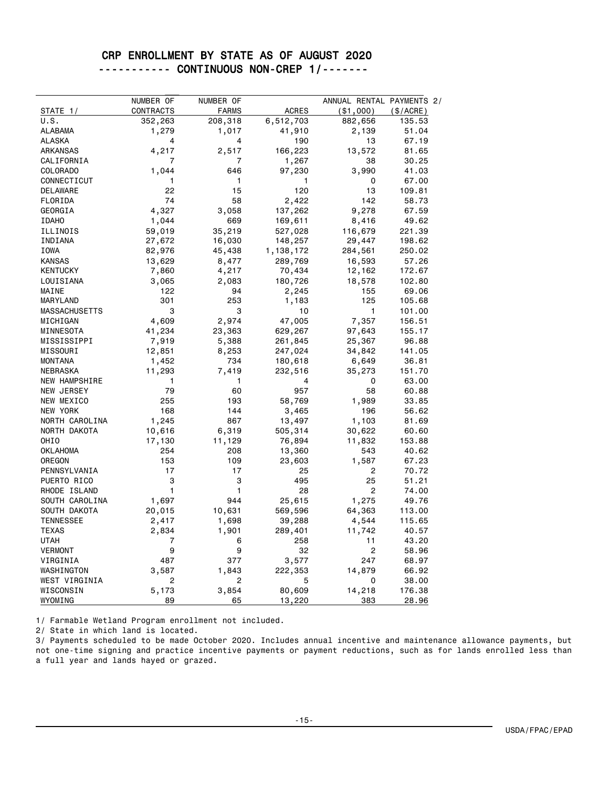### CRP ENROLLMENT BY STATE AS OF AUGUST 2020 ----------- CONTINUOUS NON-CREP 1/-------

|                      | NUMBER OF  | NUMBER OF    |              | ANNUAL RENTAL PAYMENTS 2/ |                     |
|----------------------|------------|--------------|--------------|---------------------------|---------------------|
| STATE 1/             | CONTRACTS  | <b>FARMS</b> | <b>ACRES</b> |                           |                     |
| U.S.                 | 352,263    | 208,318      | 6,512,703    | ( \$1,000)<br>882,656     | (\$/ACRE)<br>135.53 |
| ALABAMA              | 1,279      | 1,017        | 41,910       | 2,139                     | 51.04               |
| ALASKA               | 4          | 4            | 190          | 13                        | 67.19               |
| <b>ARKANSAS</b>      | 4,217      | 2,517        | 166,223      | 13,572                    | 81.65               |
| CALIFORNIA           | 7          | 7            | 1,267        | 38                        | 30.25               |
| COLORADO             |            | 646          | 97,230       | 3,990                     | 41.03               |
| CONNECTICUT          | 1,044<br>1 | 1            | 1            | 0                         | 67.00               |
| <b>DELAWARE</b>      | 22         | 15           | 120          | 13                        | 109.81              |
|                      | 74         | 58           | 2,422        | 142                       | 58.73               |
| FLORIDA<br>GEORGIA   |            |              |              |                           | 67.59               |
|                      | 4,327      | 3,058        | 137,262      | 9,278                     |                     |
| <b>IDAHO</b>         | 1,044      | 669          | 169,611      | 8,416                     | 49.62               |
| ILLINOIS             | 59,019     | 35,219       | 527,028      | 116,679                   | 221.39              |
| INDIANA              | 27,672     | 16,030       | 148,257      | 29,447                    | 198.62              |
| IOWA                 | 82,976     | 45,438       | 1,138,172    | 284,561                   | 250.02              |
| <b>KANSAS</b>        | 13,629     | 8,477        | 289,769      | 16,593                    | 57.26               |
| <b>KENTUCKY</b>      | 7,860      | 4,217        | 70,434       | 12,162                    | 172.67              |
| LOUISIANA            | 3,065      | 2,083        | 180,726      | 18,578                    | 102.80              |
| MAINE                | 122        | 94           | 2,245        | 155                       | 69.06               |
| MARYLAND             | 301        | 253          | 1,183        | 125                       | 105.68              |
| <b>MASSACHUSETTS</b> | 3          | 3            | 10           | 1                         | 101.00              |
| MICHIGAN             | 4,609      | 2,974        | 47,005       | 7,357                     | 156.51              |
| MINNESOTA            | 41,234     | 23,363       | 629,267      | 97,643                    | 155.17              |
| MISSISSIPPI          | 7,919      | 5,388        | 261,845      | 25,367                    | 96.88               |
| MISSOURI             | 12,851     | 8,253        | 247,024      | 34,842                    | 141.05              |
| <b>MONTANA</b>       | 1,452      | 734          | 180,618      | 6,649                     | 36.81               |
| <b>NEBRASKA</b>      | 11,293     | 7,419        | 232,516      | 35,273                    | 151.70              |
| <b>NEW HAMPSHIRE</b> | 1          | 1            | 4            | 0                         | 63.00               |
| NEW JERSEY           | 79         | 60           | 957          | 58                        | 60.88               |
| NEW MEXICO           | 255        | 193          | 58,769       | 1,989                     | 33.85               |
| NEW YORK             | 168        | 144          | 3,465        | 196                       | 56.62               |
| NORTH CAROLINA       | 1,245      | 867          | 13,497       | 1,103                     | 81.69               |
| NORTH DAKOTA         | 10,616     | 6,319        | 505,314      | 30,622                    | 60.60               |
| OHIO                 | 17,130     | 11,129       | 76,894       | 11,832                    | 153.88              |
| OKLAHOMA             | 254        | 208          | 13,360       | 543                       | 40.62               |
| OREGON               | 153        | 109          | 23,603       | 1,587                     | 67.23               |
| PENNSYLVANIA         | 17         | 17           | 25           | 2                         | 70.72               |
| PUERTO RICO          | 3          | 3            | 495          | 25                        | 51.21               |
| RHODE ISLAND         | 1          | 1            | 28           | 2                         | 74.00               |
| SOUTH CAROLINA       | 1,697      | 944          | 25,615       | 1,275                     | 49.76               |
| SOUTH DAKOTA         | 20,015     | 10,631       | 569,596      | 64,363                    | 113.00              |
| <b>TENNESSEE</b>     | 2,417      | 1,698        | 39,288       | 4,544                     | 115.65              |
| <b>TEXAS</b>         | 2,834      | 1,901        | 289,401      | 11,742                    | 40.57               |
| <b>UTAH</b>          | 7          | 6            | 258          | 11                        | 43.20               |
| <b>VERMONT</b>       | 9          | 9            | 32           | 2                         | 58.96               |
| VIRGINIA             | 487        | 377          | 3,577        | 247                       | 68.97               |
| WASHINGTON           | 3,587      | 1,843        | 222,353      | 14,879                    | 66.92               |
| WEST VIRGINIA        | 2          | 2            | 5            | 0                         | 38.00               |
| WISCONSIN            | 5,173      | 3,854        | 80,609       | 14,218                    | 176.38              |
| WYOMING              | 89         | 65           | 13,220       | 383                       | 28.96               |

1/ Farmable Wetland Program enrollment not included.

2/ State in which land is located.

3/ Payments scheduled to be made October 2020. Includes annual incentive and maintenance allowance payments, but not one-time signing and practice incentive payments or payment reductions, such as for lands enrolled less than a full year and lands hayed or grazed.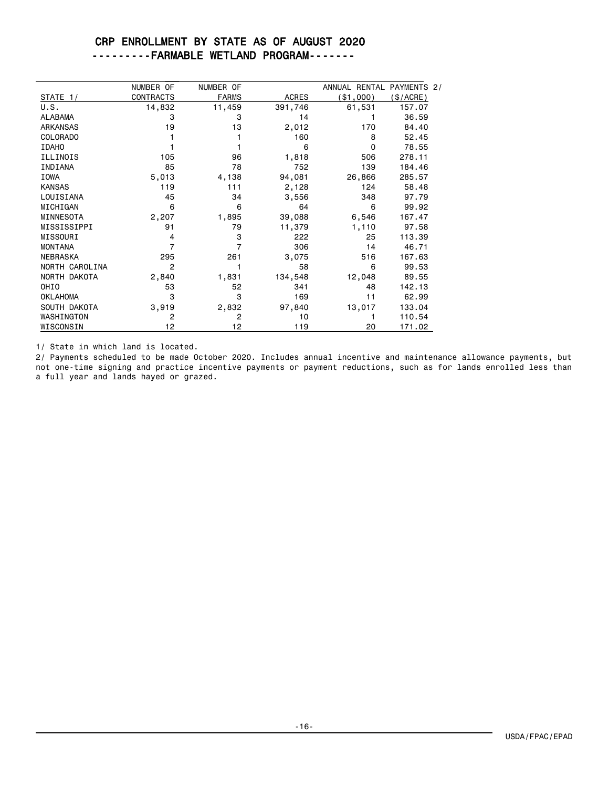### CRP ENROLLMENT BY STATE AS OF AUGUST 2020 ---------FARMABLE WETLAND PROGRAM-------

|                 | NUMBER OF        | NUMBER OF    |              | ANNUAL RENTAL PAYMENTS 2/ |          |
|-----------------|------------------|--------------|--------------|---------------------------|----------|
| STATE 1/        | <b>CONTRACTS</b> | <b>FARMS</b> | <b>ACRES</b> | (\$1,000)                 | \$/ACRE) |
| U.S.            | 14,832           | 11,459       | 391,746      | 61,531                    | 157.07   |
| <b>ALABAMA</b>  | 3                | 3            | 14           |                           | 36.59    |
| <b>ARKANSAS</b> | 19               | 13           | 2,012        | 170                       | 84.40    |
| <b>COLORADO</b> |                  |              | 160          | 8                         | 52.45    |
| <b>IDAHO</b>    |                  |              | 6            | $\Omega$                  | 78.55    |
| ILLINOIS        | 105              | 96           | 1,818        | 506                       | 278.11   |
| INDIANA         | 85               | 78           | 752          | 139                       | 184.46   |
| <b>IOWA</b>     | 5,013            | 4,138        | 94,081       | 26,866                    | 285.57   |
| <b>KANSAS</b>   | 119              | 111          | 2,128        | 124                       | 58.48    |
| LOUISIANA       | 45               | 34           | 3,556        | 348                       | 97.79    |
| MICHIGAN        | 6                | 6            | 64           | 6                         | 99.92    |
| MINNESOTA       | 2,207            | 1,895        | 39,088       | 6,546                     | 167.47   |
| MISSISSIPPI     | 91               | 79           | 11,379       | 1,110                     | 97.58    |
| MISSOURI        | 4                | 3            | 222          | 25                        | 113.39   |
| <b>MONTANA</b>  | 7                | 7            | 306          | 14                        | 46.71    |
| <b>NEBRASKA</b> | 295              | 261          | 3,075        | 516                       | 167.63   |
| NORTH CAROLINA  | 2                |              | 58           | 6                         | 99.53    |
| NORTH DAKOTA    | 2,840            | 1,831        | 134,548      | 12,048                    | 89.55    |
| OHIO            | 53               | 52           | 341          | 48                        | 142.13   |
| <b>OKLAHOMA</b> | 3                | 3            | 169          | 11                        | 62.99    |
| SOUTH DAKOTA    | 3,919            | 2,832        | 97,840       | 13,017                    | 133.04   |
| WASHINGTON      | $\overline{2}$   | 2            | 10           |                           | 110.54   |
| WISCONSIN       | 12               | 12           | 119          | 20                        | 171.02   |

1/ State in which land is located.

2/ Payments scheduled to be made October 2020. Includes annual incentive and maintenance allowance payments, but not one-time signing and practice incentive payments or payment reductions, such as for lands enrolled less than a full year and lands hayed or grazed.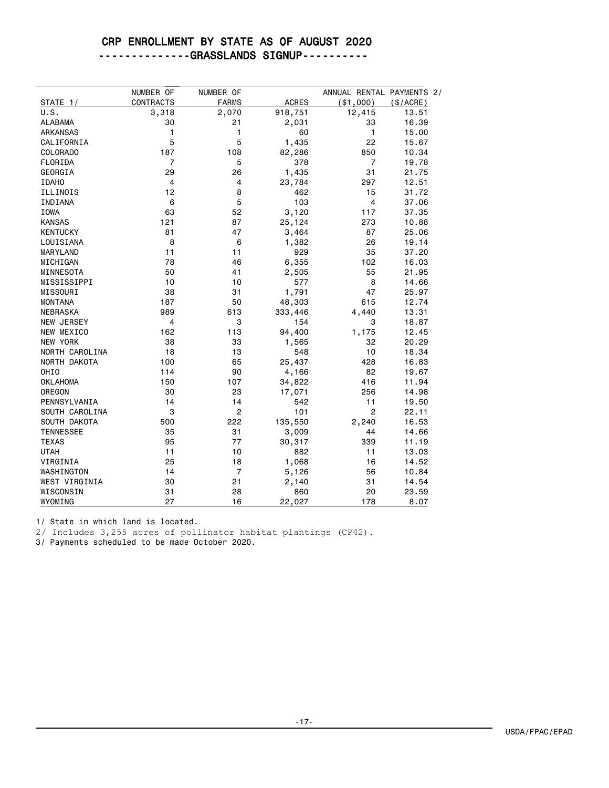--------------GRASSLANDS SIGNUP----------

|                   | NUMBER OF        | NUMBER OF      |              | ANNUAL RENTAL PAYMENTS 2/ |           |
|-------------------|------------------|----------------|--------------|---------------------------|-----------|
| STATE 1/          | <b>CONTRACTS</b> | <b>FARMS</b>   | <b>ACRES</b> | ( \$1,000)                | (\$/ACRE) |
| U.S.              | 3,318            | 2,070          | 918,751      | 12,415                    | 13.51     |
| ALABAMA           | 30               | 21             | 2,031        | 33                        | 16.39     |
| ARKANSAS          | 1                | $\mathbf{1}$   | 60           | $\mathbf{1}$              | 15.00     |
| CALIFORNIA        | 5                | 5              | 1,435        | 22                        | 15.67     |
| COLORADO          | 187              | 108            | 82,286       | 850                       | 10.34     |
| FLORIDA           | 7                | 5              | 378          | 7                         | 19.78     |
| GEORGIA           | 29               | 26             | 1,435        | 31                        | 21.75     |
| <b>IDAHO</b>      | 4                | 4              | 23,784       | 297                       | 12.51     |
| ILLINOIS          | 12               | 8              | 462          | 15                        | 31.72     |
| INDIANA           | 6                | 5              | 103          | 4                         | 37.06     |
| IOWA              | 63               | 52             | 3,120        | 117                       | 37.35     |
| <b>KANSAS</b>     | 121              | 87             | 25,124       | 273                       | 10.88     |
| <b>KENTUCKY</b>   | 81               | 47             | 3,464        | 87                        | 25.06     |
| LOUISIANA         | 8                | 6              | 1,382        | 26                        | 19.14     |
| MARYLAND          | 11               | 11             | 929          | 35                        | 37.20     |
| MICHIGAN          | 78               | 46             | 6,355        | 102                       | 16.03     |
| MINNESOTA         | 50               | 41             | 2,505        | 55                        | 21.95     |
| MISSISSIPPI       | 10               | 10             | 577          | 8                         | 14.66     |
| MISSOURI          | 38               | 31             | 1,791        | 47                        | 25.97     |
| <b>MONTANA</b>    | 187              | 50             | 48,303       | 615                       | 12.74     |
| <b>NEBRASKA</b>   | 989              | 613            | 333,446      | 4,440                     | 13.31     |
| <b>NEW JERSEY</b> | 4                | 3              | 154          | 3                         | 18.87     |
| NEW MEXICO        | 162              | 113            | 94,400       | 1,175                     | 12.45     |
| NEW YORK          | 38               | 33             | 1,565        | 32                        | 20.29     |
| NORTH CAROLINA    | 18               | 13             | 548          | 10                        | 18.34     |
| NORTH DAKOTA      | 100              | 65             | 25,437       | 428                       | 16.83     |
| OHI <sub>0</sub>  | 114              | 90             | 4,166        | 82                        | 19.67     |
| OKLAHOMA          | 150              | 107            | 34,822       | 416                       | 11.94     |
| OREGON            | 30               | 23             | 17,071       | 256                       | 14.98     |
| PENNSYLVANIA      | 14               | 14             | 542          | 11                        | 19.50     |
| SOUTH CAROLINA    | 3                | $\overline{c}$ | 101          | $\overline{2}$            | 22.11     |
| SOUTH DAKOTA      | 500              | 222            | 135,550      | 2,240                     | 16.53     |
| <b>TENNESSEE</b>  | 35               | 31             | 3,009        | 44                        | 14.66     |
| <b>TEXAS</b>      | 95               | 77             | 30,317       | 339                       | 11.19     |
| <b>UTAH</b>       | 11               | 10             | 882          | 11                        | 13.03     |
| VIRGINIA          | 25               | 18             | 1,068        | 16                        | 14.52     |
| WASHINGTON        | 14               | $\overline{7}$ | 5,126        | 56                        | 10.84     |
| WEST VIRGINIA     | 30               | 21             | 2,140        | 31                        | 14.54     |
| WISCONSIN         | 31               | 28             | 860          | 20                        | 23.59     |
| WYOMING           | 27               | 16             | 22,027       | 178                       | 8.07      |

1/ State in which land is located.

2/ Includes 3,255 acres of pollinator habitat plantings (CP42).

3/ Payments scheduled to be made October 2020.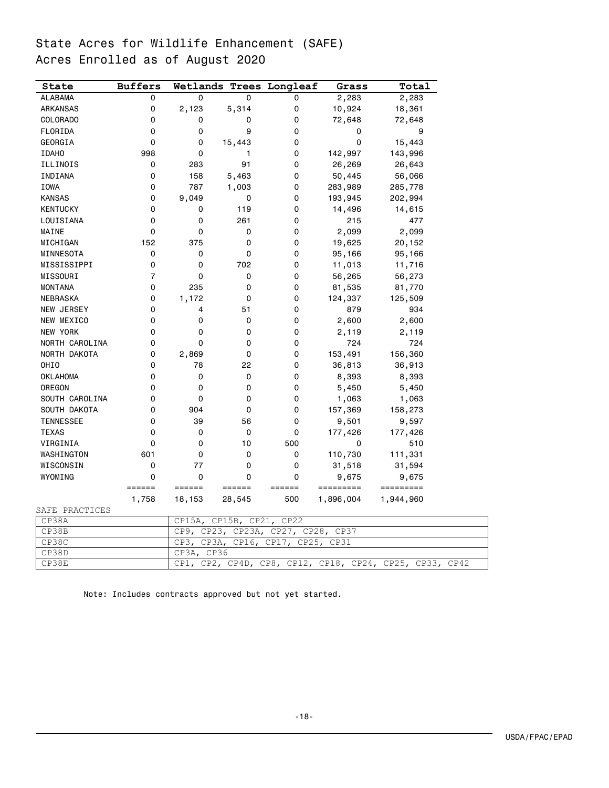# State Acres for Wildlife Enhancement (SAFE) Acres Enrolled as of August 2020

| State            | <b>Buffers</b> | Wetlands            |                    | <b>Trees Longleaf</b> | Grass             | Total                  |
|------------------|----------------|---------------------|--------------------|-----------------------|-------------------|------------------------|
| <b>ALABAMA</b>   | $\Omega$       | $\Omega$            | $\Omega$           | 0                     | 2,283             | 2,283                  |
| <b>ARKANSAS</b>  | 0              | 2,123               | 5,314              | 0                     | 10,924            | 18,361                 |
| COLORADO         | 0              | 0                   | 0                  | 0                     | 72,648            | 72,648                 |
| FLORIDA          | 0              | 0                   | 9                  | 0                     | 0                 | 9                      |
| GEORGIA          | 0              | 0                   | 15,443             | 0                     | 0                 | 15,443                 |
| <b>IDAHO</b>     | 998            | 0                   | 1                  | 0                     | 142,997           | 143,996                |
| ILLINOIS         | 0              | 283                 | 91                 | 0                     | 26,269            | 26,643                 |
| INDIANA          | 0              | 158                 | 5,463              | 0                     | 50,445            | 56,066                 |
| <b>IOWA</b>      | 0              | 787                 | 1,003              | 0                     | 283,989           | 285,778                |
| <b>KANSAS</b>    | 0              | 9,049               | 0                  | 0                     | 193,945           | 202,994                |
| <b>KENTUCKY</b>  | 0              | 0                   | 119                | 0                     | 14,496            | 14,615                 |
| LOUISIANA        | 0              | 0                   | 261                | 0                     | 215               | 477                    |
| MAINE            | 0              | 0                   | 0                  | 0                     | 2,099             | 2,099                  |
| MICHIGAN         | 152            | 375                 | 0                  | 0                     | 19,625            | 20,152                 |
| MINNESOTA        | 0              | 0                   | 0                  | 0                     | 95,166            | 95,166                 |
| MISSISSIPPI      | 0              | 0                   | 702                | 0                     | 11,013            | 11,716                 |
| MISSOURI         | $\overline{7}$ | 0                   | 0                  | 0                     | 56,265            | 56,273                 |
| <b>MONTANA</b>   | 0              | 235                 | 0                  | 0                     | 81,535            | 81,770                 |
| NEBRASKA         | 0              | 1,172               | 0                  | 0                     | 124,337           | 125,509                |
| NEW JERSEY       | 0              | 4                   | 51                 | 0                     | 879               | 934                    |
| NEW MEXICO       | 0              | 0                   | 0                  | 0                     | 2,600             | 2,600                  |
| NEW YORK         | 0              | 0                   | 0                  | 0                     | 2,119             | 2,119                  |
| NORTH CAROLINA   | 0              | $\Omega$            | 0                  | 0                     | 724               | 724                    |
| NORTH DAKOTA     | 0              | 2,869               | 0                  | 0                     | 153,491           | 156,360                |
| OHIO             | 0              | 78                  | 22                 | 0                     | 36,813            | 36,913                 |
| <b>OKLAHOMA</b>  | 0              | 0                   | 0                  | 0                     | 8,393             | 8,393                  |
| OREGON           | 0              | 0                   | 0                  | 0                     | 5,450             | 5,450                  |
| SOUTH CAROLINA   | 0              | 0                   | 0                  | 0                     | 1,063             | 1,063                  |
| SOUTH DAKOTA     | 0              | 904                 | 0                  | 0                     | 157,369           | 158,273                |
| <b>TENNESSEE</b> | 0              | 39                  | 56                 | 0                     | 9,501             | 9,597                  |
| <b>TEXAS</b>     | 0              | 0                   | 0                  | 0                     | 177,426           | 177,426                |
| VIRGINIA         | 0              | 0                   | 10                 | 500                   | 0                 | 510                    |
| WASHINGTON       | 601            | 0                   | 0                  | 0                     | 110,730           | 111,331                |
| WISCONSIN        | 0              | 77                  | 0                  | 0                     | 31,518            | 31,594                 |
| WYOMING          | 0              | 0                   | 0                  | 0                     | 9,675             | 9,675                  |
|                  | ======         | $=$ $=$ $=$ $=$ $=$ | ======             | ======                | =========         | =========              |
|                  | 1,758          | 18,153              | 28,545             | 500                   | 1,896,004         | 1,944,960              |
| SAFE PRACTICES   |                |                     |                    |                       |                   |                        |
| CP38A            |                | CP15A,              | CP15B,<br>$CP21$ , | CP22                  |                   |                        |
| CP38B            |                | CP9,<br>CP23,       | CP23A,             | CP27, CP28, CP37      |                   |                        |
| CP38C            |                | CP3,<br>CP3A,       | CP16,              | CP17,<br>CP25,        | CP31              |                        |
| CP38D            |                | CP3A,               | CP36               |                       |                   |                        |
| CP38E            |                | CPI,<br>CP2,        | CP4D,              | CPI2,<br>CP8,         | CP18,<br>$CP24$ , | CP25,<br>CP33,<br>CP42 |

Note: Includes contracts approved but not yet started.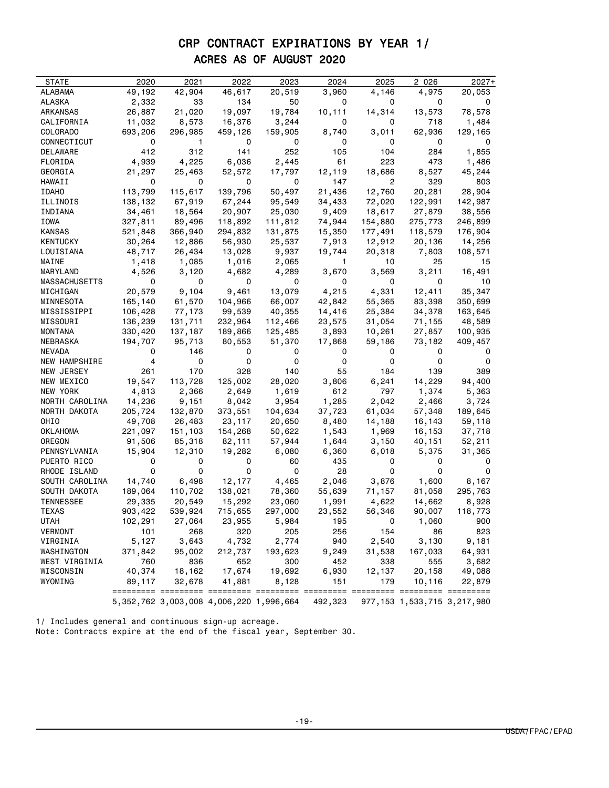# CRP CONTRACT EXPIRATIONS BY YEAR 1/ ACRES AS OF AUGUST 2020

| STATE                       | 2020              | 2021        | 2022                                            | 2023            | 2024         | 2025       | 2 0 2 6    | $2027+$                          |
|-----------------------------|-------------------|-------------|-------------------------------------------------|-----------------|--------------|------------|------------|----------------------------------|
| ALABAMA                     | 49,192            | 42,904      | 46,617                                          | 20,519          | 3,960        | 4,146      | 4,975      | 20,053                           |
| ALASKA                      | 2,332             | 33          | 134                                             | 50              | 0            | 0          | 0          |                                  |
| ARKANSAS                    | 26,887            | 21,020      | 19,097                                          | 19,784          | 10,111       | 14,314     | 13,573     | 78,578                           |
| CALIFORNIA                  | 11,032            | 8,573       | 16,376                                          | 3,244           | 0            | 0          | 718        | 1,484                            |
| COLORADO                    | 693,206           | 296,985     | 459,126                                         | 159,905         | 8,740        | 3,011      | 62,936     | 129,165                          |
| CONNECTICUT                 | 0                 | 1.          | 0                                               | 0               | 0            | 0          | 0          | 0                                |
| DELAWARE                    | 412               | 312         | 141                                             | 252             | 105          | 104        | 284        | 1,855                            |
| FLORIDA                     | 4,939             | 4,225       | 6,036                                           | 2,445           | 61           | 223        | 473        | 1,486                            |
| GEORGIA                     | 21,297            | 25,463      | 52,572                                          | 17,797          | 12,119       | 18,686     | 8,527      | 45,244                           |
| HAWAII                      | 0                 | 0           | 0                                               | 0               | 147          | 2          | 329        | 803                              |
| <b>IDAHO</b>                | 113,799           | 115,617     | 139,796                                         | 50,497          | 21,436       | 12,760     | 20,281     | 28,904                           |
| ILLINOIS                    | 138,132           | 67,919      | 67,244                                          | 95,549          | 34,433       | 72,020     | 122,991    | 142,987                          |
| INDIANA                     | 34,461            | 18,564      | 20,907                                          | 25,030          | 9,409        | 18,617     | 27,879     | 38,556                           |
| IOWA                        | 327,811           | 89,496      | 118,892                                         | 111,812         | 74,944       | 154,880    | 275,773    | 246,899                          |
| KANSAS                      | 521,848           | 366,940     | 294,832                                         | 131,875         | 15,350       | 177,491    | 118,579    | 176,904                          |
| KENTUCKY                    | 30,264            | 12,886      | 56,930                                          | 25,537          | 7,913        | 12,912     | 20,136     | 14,256                           |
| LOUISIANA                   | 48,717            | 26,434      | 13,028                                          | 9,937           | 19,744       | 20,318     | 7,803      | 108,571                          |
| MAINE                       | 1,418             | 1,085       | 1,016                                           | 2,065           | 1            | 10         | 25         | 15                               |
| MARYLAND                    | 4,526             | 3,120       | 4,682                                           | 4,289           | 3,670        | 3,569      | 3,211      | 16,491                           |
| MASSACHUSETTS               | 0                 | 0           | 0                                               | 0               | 0            | 0          | 0          | 10                               |
| MICHIGAN                    | 20,579            | 9,104       | 9,461                                           | 13,079          | 4,215        | 4,331      | 12,411     | 35,347                           |
| MINNESOTA                   | 165,140           | 61,570      | 104,966                                         | 66,007          | 42,842       | 55,365     | 83,398     | 350,699                          |
| MISSISSIPPI                 | 106,428           | 77,173      | 99,539                                          | 40,355          | 14,416       | 25,384     | 34,378     | 163,645                          |
| MISSOURI                    | 136,239           | 131,711     | 232,964                                         | 112,466         | 23,575       | 31,054     | 71,155     | 48,589                           |
| MONTANA                     | 330,420           | 137,187     | 189,866                                         | 125,485         | 3,893        | 10,261     | 27,857     | 100,935                          |
| NEBRASKA                    | 194,707           | 95,713      | 80,553                                          | 51,370          | 17,868       | 59,186     | 73,182     | 409,457                          |
| NEVADA                      | 0                 | 146         | 0                                               | 0               | 0            | 0          | 0          | 0                                |
| NEW HAMPSHIRE               | 4                 | 0           | 0                                               | 0               | 0            | 0          | 0          | 0                                |
| NEW JERSEY                  | 261               | 170         | 328                                             | 140             | 55           | 184        | 139        | 389                              |
| NEW MEXICO                  | 19,547            | 113,728     | 125,002                                         | 28,020          | 3,806        | 6,241      | 14,229     | 94,400                           |
| NEW YORK                    | 4,813             | 2,366       | 2,649                                           | 1,619           | 612          | 797        | 1,374      | 5,363                            |
| NORTH CAROLINA              | 14,236            | 9,151       | 8,042                                           | 3,954           | 1,285        | 2,042      | 2,466      | 3,724                            |
| NORTH DAKOTA                | 205,724           | 132,870     | 373,551                                         | 104,634         | 37,723       | 61,034     | 57,348     | 189,645                          |
| OHIO                        | 49,708            | 26,483      | 23,117                                          | 20,650          | 8,480        | 14,188     | 16,143     | 59,118                           |
| OKLAHOMA                    | 221,097           | 151,103     | 154,268                                         | 50,622          | 1,543        | 1,969      | 16,153     | 37,718                           |
| OREGON                      | 91,506            | 85,318      | 82,111                                          | 57,944          | 1,644        | 3,150      | 40,151     | 52,211                           |
| PENNSYLVANIA<br>PUERTO RICO | 15,904<br>0       | 12,310<br>0 | 19,282<br>0                                     | 6,080<br>60     | 6,360<br>435 | 6,018<br>0 | 5,375<br>0 | 31,365<br>0                      |
| RHODE ISLAND                | 0                 | 0           | 0                                               | 0               | 28           | 0          | 0          | 0                                |
| SOUTH CAROLINA              |                   | 6,498       |                                                 |                 |              |            |            |                                  |
| SOUTH DAKOTA                | 14,740<br>189,064 |             | 12,177                                          | 4,465<br>78,360 | 2,046        | 3,876      | 1,600      | 8,167                            |
|                             |                   | 110,702     | 138,021                                         |                 | 55,639       | 71,157     | 81,058     | 295,763                          |
| TENNESSEE<br>TEXAS          | 29,335            | 20,549      | 15,292                                          | 23,060          | 1,991        | 4,622      | 14,662     | 8,928                            |
|                             | 903,422           | 539,924     | 715,655                                         | 297,000         | 23,552       | 56,346     | 90,007     | 118,773                          |
| UTAH                        | 102,291           | 27,064      | 23,955                                          | 5,984           | 195          | 0          | 1,060      | 900                              |
| <b>VERMONT</b><br>VIRGINIA  | 101               | 268         | 320                                             | 205             | 256          | 154        | 86         | 823                              |
|                             | 5,127             | 3,643       | 4,732                                           | 2,774           | 940          | 2,540      | 3,130      | 9,181                            |
| WASHINGTON                  | 371,842           | 95,002      | 212,737                                         | 193,623         | 9,249        | 31,538     | 167,033    | 64,931                           |
| WEST VIRGINIA               | 760               | 836         | 652                                             | 300             | 452          | 338        | 555        | 3,682                            |
| WISCONSIN                   | 40,374            | 18,162      | 17,674                                          | 19,692          | 6,930        | 12,137     | 20,158     | 49,088                           |
| WYOMING                     | 89,117            | 32,678      | 41,881                                          | 8,128           | 151          | 179        | 10,116     | 22,879                           |
|                             |                   |             | 5, 352, 762 3, 003, 008 4, 006, 220 1, 996, 664 |                 | 492,323      |            |            | 977, 153 1, 533, 715 3, 217, 980 |

1/ Includes general and continuous sign-up acreage. Note: Contracts expire at the end of the fiscal year, September 30.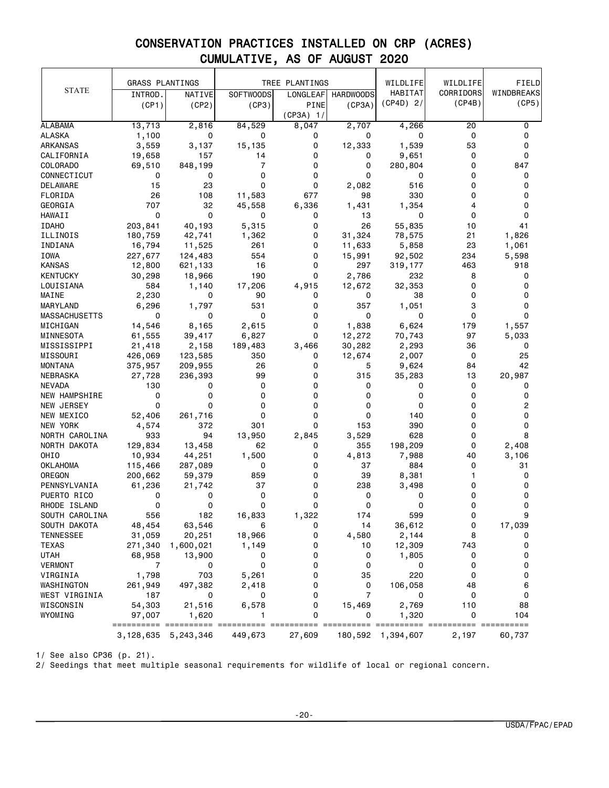|                      | <b>GRASS PLANTINGS</b> |                         |                  | TREE PLANTINGS                 |                  | WILDLIFE          | WILDLIFE  | FIELD         |
|----------------------|------------------------|-------------------------|------------------|--------------------------------|------------------|-------------------|-----------|---------------|
| <b>STATE</b>         | INTROD.                | NATIVE                  | <b>SOFTWOODS</b> | LONGLEAF                       | <b>HARDWOODS</b> | HABITAT           | CORRIDORS | WINDBREAKS    |
|                      | (CP1)                  | (CP2)                   | (CP3)            | PINE                           | (CP3A)           | $(CP4D)$ 2/       | (CP4B)    | (CP5)         |
|                      |                        |                         |                  | $(CP3A)$ 1/                    |                  |                   |           |               |
| <b>ALABAMA</b>       | 13, 713                | 2,816                   | 84,529           | 8,047                          | 2,707            | 4,266             | 20        | 0             |
| <b>ALASKA</b>        | 1,100                  | 0                       | 0                | 0                              | 0                | 0                 | 0         | 0             |
| ARKANSAS             | 3,559                  | 3,137                   | 15,135           | 0                              | 12,333           | 1,539             | 53        | 0             |
| CALIFORNIA           | 19,658                 | 157                     | 14               | 0                              | 0                | 9,651             | 0         | 0             |
| COLORADO             | 69,510                 | 848,199                 | 7                | 0                              | 0                | 280,804           | 0         | 847           |
| CONNECTICUT          | 0                      | 0                       | 0                | 0                              | 0                | 0                 | 0         | 0             |
| DELAWARE             | 15                     | 23                      | 0                | 0                              | 2,082            | 516               | 0         | 0             |
| FLORIDA              | 26                     | 108                     | 11,583           | 677                            | 98               | 330               | 0         | 0             |
| GEORGIA              | 707                    | 32                      | 45,558           | 6,336                          | 1,431            | 1,354             | 4         | 0             |
| HAWAII               | $\Omega$               | $\mathbf 0$             | 0                | 0                              | 13               | 0                 | $\Omega$  | 0             |
| <b>IDAHO</b>         | 203,841                | 40,193                  | 5,315            | 0                              | 26               | 55,835            | 10        | 41            |
| ILLINOIS             | 180,759                | 42,741                  | 1,362            | 0                              | 31,324           | 78,575            | 21        | 1,826         |
| INDIANA              | 16,794                 | 11,525                  | 261              | 0                              | 11,633           | 5,858             | 23        | 1,061         |
| IOWA                 | 227,677                | 124,483                 | 554              | 0                              | 15,991           | 92,502            | 234       | 5,598         |
| <b>KANSAS</b>        | 12,800                 | 621,133                 | 16               | 0                              | 297              | 319,177           | 463       | 918           |
| <b>KENTUCKY</b>      | 30,298                 | 18,966                  | 190              | 0                              | 2,786            | 232               | 8         | 0             |
| LOUISIANA            | 584                    | 1,140                   | 17,206           | 4,915                          | 12,672           | 32,353            | 0         | 0             |
| MAINE                | 2,230                  | 0                       | 90               | 0                              | 0                | 38                | 0         | 0             |
| MARYLAND             | 6,296                  | 1,797                   | 531              | 0                              | 357              | 1,051             | 3         | 0             |
| <b>MASSACHUSETTS</b> | 0                      | 0                       | 0                | 0                              | 0                | 0                 | 0         | 0             |
| MICHIGAN             | 14,546                 | 8,165                   | 2,615            | 0                              | 1,838            | 6,624             | 179       | 1,557         |
| MINNESOTA            | 61,555                 | 39,417                  | 6,827            | 0                              | 12,272           | 70,743            | 97        | 5,033         |
| MISSISSIPPI          | 21,418                 | 2,158                   | 189,483          | 3,466                          | 30,282           | 2,293             | 36        | 0             |
| MISSOURI             | 426,069                | 123,585                 | 350              | 0                              | 12,674           | 2,007             | 0         | 25            |
| MONTANA              | 375,957                | 209,955                 | 26               | 0                              | 5                | 9,624             | 84        | 42            |
| NEBRASKA             | 27,728                 | 236,393                 | 99               | 0                              | 315              | 35,283            | 13        | 20,987        |
| <b>NEVADA</b>        | 130                    | 0                       | 0                | 0                              | 0                | 0                 | 0         | 0             |
| <b>NEW HAMPSHIRE</b> | 0                      | 0                       | 0                | 0                              | 0                | 0                 | 0         | 0             |
| NEW JERSEY           | $\mathbf 0$            | 0                       | 0                | 0                              | 0                | 0                 | 0         | 2             |
| NEW MEXICO           | 52,406                 | 261,716                 | 0                | 0                              | 0                | 140               | 0         | 0             |
| NEW YORK             | 4,574                  | 372                     | 301              | 0                              | 153              | 390               | 0         | 0             |
| NORTH CAROLINA       | 933                    | 94                      | 13,950           | 2,845                          | 3,529            | 628               | 0         | 8             |
| NORTH DAKOTA         | 129,834                | 13,458                  | 62               | 0                              | 355              | 198,209           | 0         | 2,408         |
| OHIO                 | 10,934                 | 44,251                  | 1,500            | 0                              | 4,813            | 7,988             | 40        | 3,106         |
| <b>OKLAHOMA</b>      | 115,466                | 287,089                 | 0                | 0                              | 37               | 884               | 0         | 31            |
| OREGON               | 200,662                | 59,379                  | 859              | 0                              | 39               | 8,381             | 1         | 0             |
| PENNSYLVANIA         | 61,236                 | 21,742                  | 37               | 0                              | 238              | 3,498             | 0         | 0             |
| PUERTO RICO          | 0                      | 0                       | 0                | 0                              | 0                | 0                 | 0         | 0             |
| RHODE ISLAND         | 0                      | 0                       | 0                | 0                              | 0                | 0                 | 0         | 0             |
| SOUTH CAROLINA       | 556                    | 182                     | 16,833           | 1,322                          | 174              | 599               | 0         |               |
| SOUTH DAKOTA         | 48,454                 | 63,546                  | 6                | 0                              | 14               | 36,612            | 0         | 17,039        |
| <b>TENNESSEE</b>     | 31,059                 | 20,251                  | 18,966           | 0                              | 4,580            | 2,144             | 8         | 0             |
| <b>TEXAS</b>         | 271,340                | 1,600,021               | 1,149            | 0                              | 10               | 12,309            | 743       | 0             |
| UTAH                 | 68,958                 | 13,900                  | 0                | 0                              | 0                | 1,805             | 0         | 0             |
| VERMONT              | 7                      | 0                       | 0                | 0                              | 0                | 0                 | 0         | 0             |
| VIRGINIA             | 1,798                  | 703                     | 5,261            | 0                              | 35               | 220               | 0         | 0             |
| WASHINGTON           | 261,949                | 497,382                 | 2,418            | 0                              | 0                | 106,058           | 48        | 6             |
| WEST VIRGINIA        | 187                    | 0                       | 0                | 0                              | $\overline{7}$   | 0                 | 0         | 0             |
| WISCONSIN            | 54,303                 | 21,516                  | 6,578            | 0                              | 15,469           | 2,769             | 110       | 88            |
| WYOMING              | 97,007                 | 1,620                   | 1                | 0                              | 0                | 1,320             | 0         | 104           |
|                      | =================      | ===                     | ==========       | ========== ========== ======== |                  |                   |           | $=$ ========= |
|                      |                        | 3, 128, 635 5, 243, 346 | 449,673          | 27,609                         |                  | 180,592 1,394,607 | 2,197     | 60,737        |

1/ See also CP36 (p. 21).

2/ Seedings that meet multiple seasonal requirements for wildlife of local or regional concern.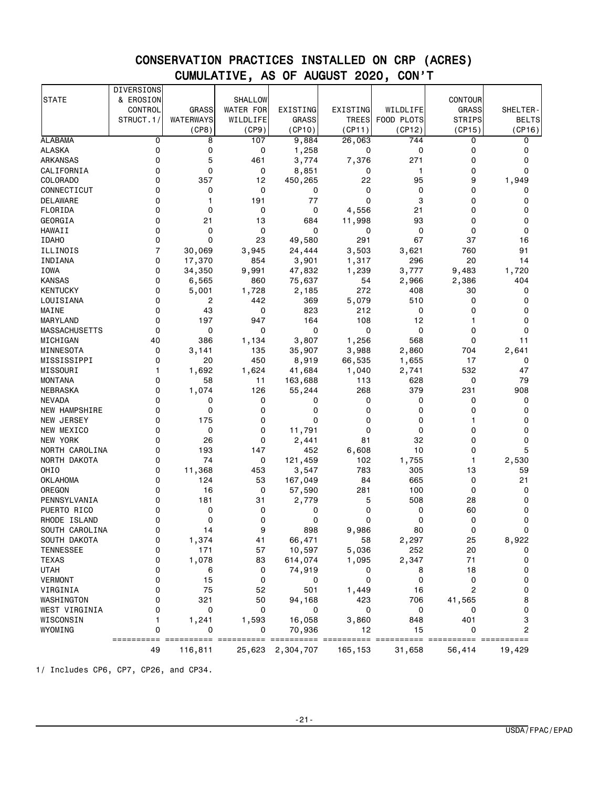|                      | <b>DIVERSIONS</b> |              |                  |              |              |             |                |              |
|----------------------|-------------------|--------------|------------------|--------------|--------------|-------------|----------------|--------------|
| <b>STATE</b>         | & EROSION         |              | SHALLOW          |              |              |             | <b>CONTOUR</b> |              |
|                      | CONTROL           | <b>GRASS</b> | <b>WATER FOR</b> | EXISTING     | EXISTING     | WILDLIFE    | <b>GRASS</b>   | SHELTER-     |
|                      | STRUCT.1/         | WATERWAYS    | WILDLIFE         | <b>GRASS</b> | <b>TREES</b> | FOOD PLOTS  | <b>STRIPS</b>  | <b>BELTS</b> |
|                      |                   | (CP8)        | (CP9)            | (CP10)       | (CP11)       | (CP12)      | (CP15)         | (CP16)       |
| <b>ALABAMA</b>       | 0                 | 8            | 107              | 9,884        | 26,063       | 744         | 0              | 0            |
| <b>ALASKA</b>        | 0                 | 0            | 0                | 1,258        | 0            | 0           | 0              | 0            |
| <b>ARKANSAS</b>      | 0                 | 5            | 461              | 3,774        | 7,376        | 271         | 0              | 0            |
| CALIFORNIA           | $\Omega$          | 0            | 0                | 8,851        | 0            | 1           | 0              | $\Omega$     |
| COLORADO             | 0                 | 357          | 12               | 450,265      | 22           | 95          | 9              | 1,949        |
| CONNECTICUT          | 0                 | 0            | 0                | 0            | 0            | 0           | 0              | 0            |
| DELAWARE             | 0                 | 1            | 191              | 77           | 0            | 3           | 0              | 0            |
| FLORIDA              | 0                 | 0            | 0                | 0            | 4,556        | 21          | 0              | 0            |
| GEORGIA              | 0                 | 21           | 13               | 684          | 11,998       | 93          | 0              | 0            |
| <b>HAWAII</b>        | $\Omega$          | 0            | 0                | 0            | 0            | $\mathbf 0$ | 0              | 0            |
| <b>IDAHO</b>         | 0                 | 0            | 23               |              | 291          | 67          | 37             | 16           |
|                      | $\overline{7}$    |              |                  | 49,580       |              |             |                |              |
| ILLINOIS             |                   | 30,069       | 3,945            | 24,444       | 3,503        | 3,621       | 760            | 91           |
| INDIANA              | 0                 | 17,370       | 854              | 3,901        | 1,317        | 296         | 20             | 14           |
| IOWA                 | 0                 | 34,350       | 9,991            | 47,832       | 1,239        | 3,777       | 9,483          | 1,720        |
| <b>KANSAS</b>        | 0                 | 6,565        | 860              | 75,637       | 54           | 2,966       | 2,386          | 404          |
| <b>KENTUCKY</b>      | 0                 | 5,001        | 1,728            | 2,185        | 272          | 408         | 30             | 0            |
| LOUISIANA            | 0                 | 2            | 442              | 369          | 5,079        | 510         | 0              | 0            |
| MAINE                | 0                 | 43           | 0                | 823          | 212          | 0           | 0              | 0            |
| MARYLAND             | 0                 | 197          | 947              | 164          | 108          | 12          | 1              | 0            |
| <b>MASSACHUSETTS</b> | $\Omega$          | 0            | 0                | 0            | 0            | 0           | $\Omega$       | $\Omega$     |
| MICHIGAN             | 40                | 386          | 1,134            | 3,807        | 1,256        | 568         | 0              | 11           |
| MINNESOTA            | 0                 | 3,141        | 135              | 35,907       | 3,988        | 2,860       | 704            | 2,641        |
| MISSISSIPPI          | $\Omega$          | 20           | 450              | 8,919        | 66,535       | 1,655       | 17             | 0            |
| MISSOURI             | 1                 | 1,692        | 1,624            | 41,684       | 1,040        | 2,741       | 532            | 47           |
| <b>MONTANA</b>       | 0                 | 58           | 11               | 163,688      | 113          | 628         | 0              | 79           |
| NEBRASKA             | $\Omega$          | 1,074        | 126              | 55,244       | 268          | 379         | 231            | 908          |
| <b>NEVADA</b>        | 0                 | 0            | 0                | 0            | 0            | 0           | 0              | 0            |
| NEW HAMPSHIRE        | 0                 | 0            | 0                | 0            | 0            | 0           | 0              | 0            |
| NEW JERSEY           | $\Omega$          | 175          | 0                | 0            | 0            | $\Omega$    | 1              | 0            |
| NEW MEXICO           | 0                 | 0            | 0                | 11,791       | 0            | 0           | 0              | 0            |
| <b>NEW YORK</b>      | 0                 | 26           | 0                | 2,441        | 81           | 32          | 0              | 0            |
| NORTH CAROLINA       | 0                 | 193          | 147              | 452          | 6,608        | 10          | 0              | 5            |
| NORTH DAKOTA         | 0                 | 74           | 0                | 121,459      | 102          | 1,755       | 1              | 2,530        |
| OHIO                 | 0                 | 11,368       | 453              | 3,547        | 783          | 305         | 13             | 59           |
| <b>OKLAHOMA</b>      | $\Omega$          | 124          | 53               | 167,049      | 84           | 665         | 0              | 21           |
| OREGON               | 0                 | 16           | 0                | 57,590       | 281          | 100         | 0              | 0            |
| PENNSYLVANIA         | 0                 | 181          | 31               | 2,779        | 5            | 508         | 28             | 0            |
| PUERTO RICO          | 0                 | 0            | 0                | 0            | 0            | 0           | 60             | 0            |
| RHODE ISLAND         | 0                 | 0            | 0                | 0            | 0            | 0           | 0              | 0            |
| SOUTH CAROLINA       | 0                 | 14           | 9                | 898          | 9,986        | 80          | 0              |              |
| SOUTH DAKOTA         | 0                 | 1,374        | 41               | 66,471       | 58           | 2,297       | 25             | 8,922        |
| <b>TENNESSEE</b>     | 0                 | 171          | 57               | 10,597       | 5,036        | 252         | 20             | 0            |
| <b>TEXAS</b>         | 0                 | 1,078        | 83               | 614,074      | 1,095        | 2,347       | 71             | 0            |
| <b>UTAH</b>          | 0                 | 6            | 0                | 74,919       | 0            | 8           | 18             | 0            |
| <b>VERMONT</b>       | 0                 | 15           | 0                | 0            | 0            | 0           | 0              | 0            |
| VIRGINIA             | 0                 | 75           | 52               | 501          | 1,449        | 16          | $\overline{c}$ | 0            |
| WASHINGTON           | 0                 | 321          | 50               | 94,168       | 423          | 706         | 41,565         | 8            |
| WEST VIRGINIA        | 0                 | 0            | 0                | 0            | 0            | 0           | 0              | 0            |
| WISCONSIN            |                   | 1,241        | 1,593            | 16,058       | 3,860        | 848         | 401            | 3            |
| WYOMING              | 0                 | 0            | 0                | 70,936       | 12           | 15          | 0              | 2            |
|                      | ==========        |              |                  |              |              |             |                |              |
|                      | 49                | 116,811      | 25,623           | 2,304,707    | 165,153      | 31,658      | 56,414         | 19,429       |

1/ Includes CP6, CP7, CP26, and CP34.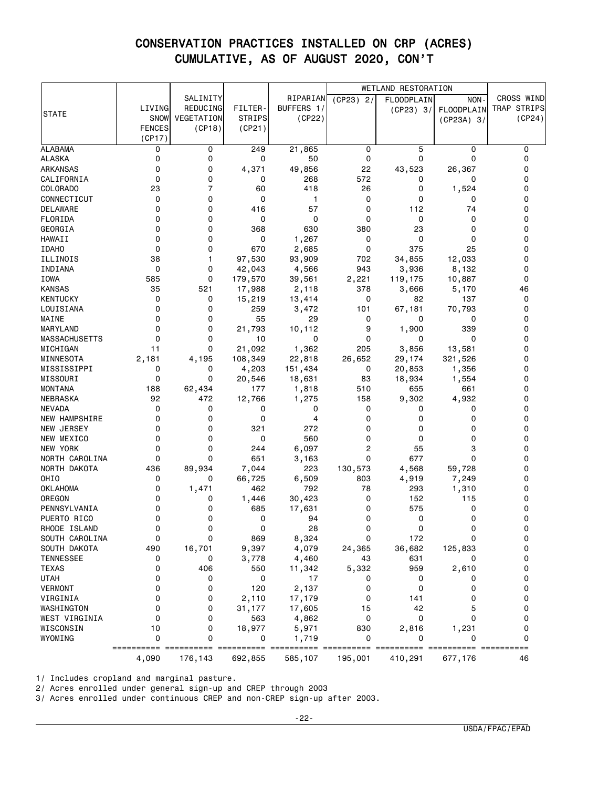|                      |               |                                 |                |            |             | <b>WETLAND RESTORATION</b> |                   |             |
|----------------------|---------------|---------------------------------|----------------|------------|-------------|----------------------------|-------------------|-------------|
|                      |               | SALINITY                        |                | RIPARIAN   | $(CP23)$ 2/ | <b>FLOODPLAIN</b>          | NON-              | CROSS WIND  |
|                      | LIVING        | REDUCING                        | <b>FILTER-</b> | BUFFERS 1/ |             | (CP23) 3/                  | <b>FLOODPLAIN</b> | TRAP STRIPS |
| <b>STATE</b>         | SNOW          | VEGETATION                      | <b>STRIPS</b>  | (CP22)     |             |                            | $(CP23A)$ 3/      | (CP24)      |
|                      | <b>FENCES</b> | (CP18)                          | (CP21)         |            |             |                            |                   |             |
|                      | (CP17)        |                                 |                |            |             |                            |                   |             |
| <b>ALABAMA</b>       | 0             | 0                               | 249            | 21,865     | 0           | 5                          | 0                 | 0           |
| <b>ALASKA</b>        | 0             | 0                               | 0              | 50         | 0           | 0                          | 0                 | 0           |
| <b>ARKANSAS</b>      | 0             | 0                               | 4,371          | 49,856     | 22          | 43,523                     | 26,367            | 0           |
| CALIFORNIA           | 0             | 0                               | 0              | 268        | 572         | 0                          | 0                 | 0           |
| COLORADO             | 23            | $\overline{7}$                  | 60             | 418        | 26          | 0                          | 1,524             | 0           |
| CONNECTICUT          | 0             | 0                               | 0              | 1          | 0           | 0                          | 0                 | 0           |
| <b>DELAWARE</b>      | 0             | 0                               | 416            | 57         | 0           | 112                        | 74                | 0           |
| FLORIDA              | 0             | 0                               | 0              | 0          | 0           | 0                          | 0                 | 0           |
| GEORGIA              | 0             | 0                               | 368            | 630        | 380         | 23                         | $\Omega$          | 0           |
| HAWAII               | 0             | 0                               | 0              | 1,267      | 0           | 0                          | 0                 | 0           |
| <b>IDAHO</b>         | 0             | 0                               | 670            | 2,685      | 0           | 375                        | 25                | 0           |
| ILLINOIS             | 38            | 1                               | 97,530         | 93,909     | 702         | 34,855                     | 12,033            | 0           |
| INDIANA              | 0             | 0                               | 42,043         | 4,566      | 943         | 3,936                      | 8,132             | 0           |
| IOWA                 | 585           | 0                               | 179,570        | 39,561     | 2,221       | 119,175                    | 10,887            | 0           |
| <b>KANSAS</b>        | 35            | 521                             | 17,988         | 2,118      | 378         | 3,666                      | 5,170             | 46          |
| <b>KENTUCKY</b>      | 0             | 0                               | 15,219         | 13,414     | 0           | 82                         | 137               | 0           |
| LOUISIANA            | 0             | 0                               | 259            | 3,472      | 101         | 67,181                     | 70,793            | 0           |
| MAINE                | 0             | 0                               | 55             | 29         | 0           | 0                          | 0                 | 0           |
| MARYLAND             | 0             | 0                               | 21,793         | 10,112     | 9           | 1,900                      | 339               | 0           |
| <b>MASSACHUSETTS</b> | 0             | 0                               | 10             | 0          | 0           | 0                          | 0                 | 0           |
| MICHIGAN             | 11            | 0                               | 21,092         | 1,362      | 205         | 3,856                      | 13,581            | 0           |
| MINNESOTA            | 2,181         | 4,195                           | 108,349        | 22,818     | 26,652      | 29,174                     | 321,526           | 0           |
| MISSISSIPPI          | 0             | 0                               | 4,203          | 151,434    | 0           | 20,853                     | 1,356             | 0           |
| MISSOURI             | 0             | 0                               | 20,546         | 18,631     | 83          | 18,934                     | 1,554             | 0           |
| <b>MONTANA</b>       | 188           | 62,434                          | 177            | 1,818      | 510         | 655                        | 661               | 0           |
| NEBRASKA             | 92            | 472                             | 12,766         | 1,275      | 158         | 9,302                      | 4,932             | 0           |
| <b>NEVADA</b>        | 0             | 0                               | 0              | 0          | 0           | 0                          | 0                 | 0           |
| <b>NEW HAMPSHIRE</b> | 0             | 0                               | 0              | 4          | 0           | 0                          | 0                 | 0           |
| NEW JERSEY           | 0             | 0                               | 321            | 272        | 0           | 0                          | 0                 | 0           |
| NEW MEXICO           | 0             | 0                               | 0              | 560        | 0           | 0                          | 0                 | 0           |
| NEW YORK             | 0             | 0                               | 244            | 6,097      | 2           | 55                         | 3                 | 0           |
| NORTH CAROLINA       | 0             | 0                               | 651            | 3,163      | 0           | 677                        | 0                 | 0           |
| NORTH DAKOTA         | 436           | 89,934                          | 7,044          | 223        | 130,573     | 4,568                      | 59,728            | 0           |
| OHIO                 | 0             | 0                               | 66,725         | 6,509      | 803         | 4,919                      | 7,249             | 0           |
| <b>OKLAHOMA</b>      | 0             | 1,471                           | 462            | 792        | 78          | 293                        | 1,310             | 0           |
| OREGON               | 0             | 0                               | 1,446          | 30,423     | 0           | 152                        | 115               | 0           |
| PENNSYLVANIA         | 0             | 0                               | 685            | 17,631     | 0           | 575                        | 0                 | 0           |
| PUERTO RICO          | 0             | 0                               | 0              | 94         | 0           | 0                          | 0                 | 0           |
| RHODE ISLAND         | 0             | 0                               | $\Omega$       | 28         | 0           | 0                          | $\Omega$          | 0           |
| SOUTH CAROLINA       | 0             | 0                               | 869            | 8,324      | 0           | 172                        | 0                 | 0           |
| SOUTH DAKOTA         | 490           | 16,701                          | 9,397          | 4,079      | 24,365      | 36,682                     | 125,833           | 0           |
| <b>TENNESSEE</b>     | 0             | 0                               | 3,778          | 4,460      | 43          | 631                        | 0                 | 0           |
| TEXAS                | 0             | 406                             | 550            | 11,342     | 5,332       | 959                        | 2,610             | 0           |
| <b>UTAH</b>          | 0             | 0                               | 0              | 17         | 0           | 0                          | 0                 | 0           |
| <b>VERMONT</b>       | 0             | 0                               | 120            | 2,137      | 0           | 0                          | 0                 | 0           |
| VIRGINIA             | 0             | 0                               | 2,110          | 17,179     | 0           | 141                        | 0                 | 0           |
| WASHINGTON           | 0             | 0                               | 31,177         | 17,605     | 15          | 42                         | 5                 | 0           |
| WEST VIRGINIA        | 0             | 0                               | 563            | 4,862      | 0           | 0                          | 0                 | 0           |
| WISCONSIN            | 10            | 0                               | 18,977         | 5,971      | 830         | 2,816                      | 1,231             | 0           |
| WYOMING              | 0             | 0                               | 0              | 1,719      | 0           | 0                          | 0                 | 0           |
|                      | ==========    | =========== =========== ======= |                | ===        |             |                            |                   | ==========  |
|                      | 4,090         | 176,143                         | 692,855        | 585,107    | 195,001     | 410,291                    | 677,176           | 46          |

1/ Includes cropland and marginal pasture.

2/ Acres enrolled under general sign-up and CREP through 2003

3/ Acres enrolled under continuous CREP and non-CREP sign-up after 2003.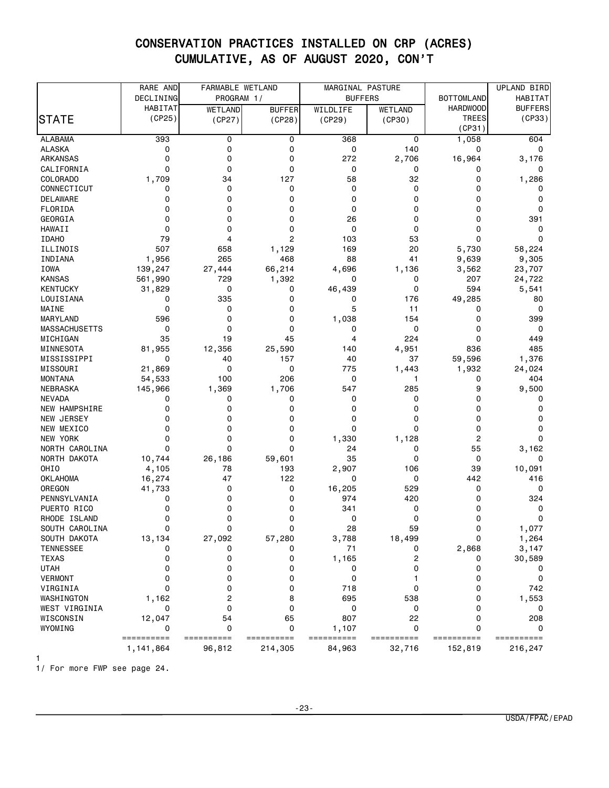|                      | RARE AND        | FARMABLE WETLAND |                | MARGINAL PASTURE |                |                   | UPLAND BIRD    |
|----------------------|-----------------|------------------|----------------|------------------|----------------|-------------------|----------------|
|                      | DECLINING       | PROGRAM 1/       |                | <b>BUFFERS</b>   |                | <b>BOTTOMLAND</b> | HABITAT        |
|                      | HABITAT         | WETLAND          | <b>BUFFER</b>  | WILDLIFE         | <b>WETLAND</b> | <b>HARDWOOD</b>   | <b>BUFFERS</b> |
| <b>STATE</b>         | (CP25)          | (CP27)           | (CP28)         | (CP29)           | (CP30)         | <b>TREES</b>      | (CP33)         |
|                      |                 |                  |                |                  |                | (CP31)            |                |
| <b>ALABAMA</b>       | 393             | 0                | 0              | 368              | 0              | 1,058             | 604            |
| <b>ALASKA</b>        | 0               | 0                | 0              | 0                | 140            | 0                 | 0              |
| <b>ARKANSAS</b>      | 0               | 0                | 0              | 272              | 2,706          | 16,964            | 3,176          |
| CALIFORNIA           | 0               | 0                | 0              | 0                | 0              | 0                 | 0              |
| COLORADO             | 1,709           | 34               | 127            | 58               | 32             | 0                 | 1,286          |
| CONNECTICUT          | 0               | 0                | 0              | 0                | 0              | 0                 | 0              |
| DELAWARE             | 0               | 0                | 0              | 0                | 0              | 0                 | 0              |
| FLORIDA              | 0               | 0                | 0              | 0                | 0              | 0                 | 0              |
| GEORGIA              | 0               | 0                | 0              | 26               | 0              | 0                 | 391            |
| HAWAII               | 0               | 0                | 0              | 0                | 0              | 0                 | 0              |
| <b>IDAHO</b>         | 79              | 4                | $\overline{c}$ | 103              | 53             | 0                 | 0              |
| ILLINOIS             | 507             | 658              | 1,129          | 169              | 20             | 5,730             | 58,224         |
| INDIANA              | 1,956           | 265              | 468            | 88               | 41             | 9,639             | 9,305          |
| IOWA                 | 139,247         | 27,444           | 66,214         | 4,696            | 1,136          | 3,562             | 23,707         |
| <b>KANSAS</b>        | 561,990         | 729              | 1,392          | 0                | 0              | 207               | 24,722         |
| <b>KENTUCKY</b>      | 31,829          | 0                | 0              | 46,439           | 0              | 594               | 5,541          |
| LOUISIANA            | 0               | 335              | 0              | 0                | 176            | 49,285            | 80             |
| MAINE                | 0               | 0                | 0              | 5                | 11             | 0                 | 0              |
| MARYLAND             | 596             | 0                | 0              | 1,038            | 154            | 0                 | 399            |
| <b>MASSACHUSETTS</b> | 0               | $\mathbf 0$      | 0              | 0                | 0              | 0                 | 0              |
| MICHIGAN             | 35              | 19               | 45             | 4                | 224            | 0                 | 449            |
| MINNESOTA            | 81,955          | 12,356           | 25,590         | 140              | 4,951          | 836               | 485            |
| MISSISSIPPI          | 0               | 40               | 157            | 40               | 37             | 59,596            | 1,376          |
| MISSOURI             | 21,869          | 0                | 0              | 775              | 1,443          | 1,932             | 24,024         |
| <b>MONTANA</b>       | 54,533          | 100              | 206            | 0                | $\mathbf{1}$   | 0                 | 404            |
| NEBRASKA             | 145,966         | 1,369            | 1,706          | 547              | 285            | 9                 | 9,500          |
| <b>NEVADA</b>        | 0               | 0                | 0              | 0                | 0              | 0                 | 0              |
| NEW HAMPSHIRE        | 0               | 0                | 0              | 0                | 0              | 0                 | 0              |
| NEW JERSEY           | 0               | 0                | 0              | 0                | 0              | 0                 | 0              |
| NEW MEXICO           | 0               | 0                | 0              | 0                | 0              | 0                 | 0              |
| <b>NEW YORK</b>      | 0               | 0                | 0              | 1,330            | 1,128          | 2                 | 0              |
| NORTH CAROLINA       | 0               | 0                | 0              | 24               | 0              | 55                | 3,162          |
| NORTH DAKOTA         |                 | 26,186           | 59,601         | 35               | 0              | 0                 | 0              |
| OHI <sub>0</sub>     | 10,744<br>4,105 | 78               | 193            | 2,907            | 106            | 39                | 10,091         |
| <b>OKLAHOMA</b>      | 16,274          | 47               | 122            | 0                | 0              | 442               | 416            |
| OREGON               | 41,733          | 0                | 0              | 16,205           | 529            | 0                 | 0              |
| PENNSYLVANIA         | 0               | 0                | 0              | 974              | 420            | 0                 | 324            |
| PUERTO RICO          | 0               | 0                | 0              | 341              | 0              | 0                 | 0              |
|                      | 0               | 0                | 0              | 0                | 0              | 0                 | 0              |
| RHODE ISLAND         | 0               | $\mathbf 0$      | 0              |                  |                |                   |                |
| SOUTH CAROLINA       |                 |                  |                | 28               | 59             | 0                 | 1,077          |
| SOUTH DAKOTA         | 13,134          | 27,092           | 57,280         | 3,788            | 18,499         | 0                 | 1,264          |
| <b>TENNESSEE</b>     | 0               | 0                | 0              | 71               | 0              | 2,868             | 3,147          |
| <b>TEXAS</b>         | 0               | 0                | 0              | 1,165            | 2              | 0                 | 30,589         |
| <b>UTAH</b>          | 0               | 0                | 0              | 0                | 0              | 0                 | 0              |
| <b>VERMONT</b>       | 0               | 0                | 0              | 0                |                | 0                 | 0              |
| VIRGINIA             | 0               | 0                | 0              | 718              | 0              | 0                 | 742            |
| WASHINGTON           | 1,162           | 2                | 8              | 695              | 538            | 0                 | 1,553          |
| WEST VIRGINIA        | 0               | 0                | 0              | 0                | 0              | 0                 | 0              |
| WISCONSIN            | 12,047          | 54               | 65             | 807              | 22             | 0                 | 208            |
| WYOMING              | 0               | 0                | 0              | 1,107            | 0              | 0                 | 0              |
|                      | ==========      | ==========       | ==========     | ==========       | ==========     | ==========        | ==========     |
|                      | 1, 141, 864     | 96,812           | 214,305        | 84,963           | 32,716         | 152,819           | 216,247        |
|                      |                 |                  |                |                  |                |                   |                |

1/ For more FWP see page 24.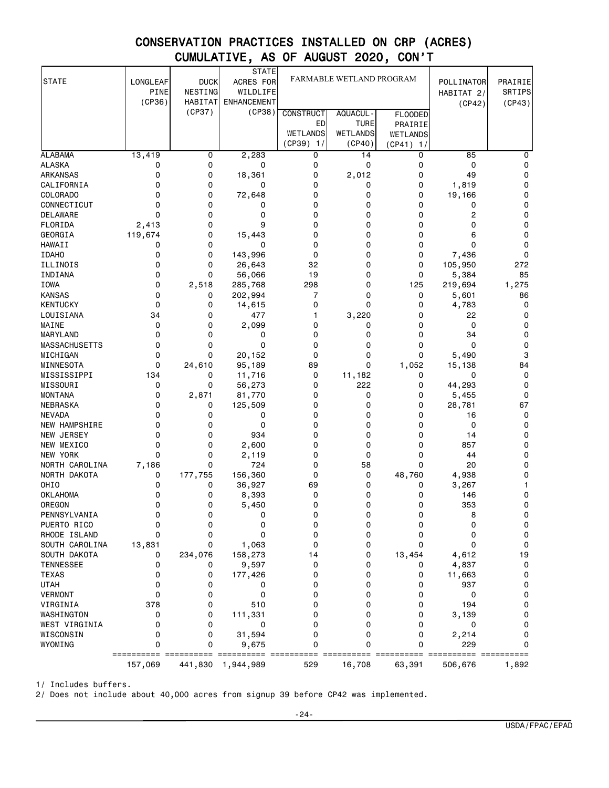| <b>STATE</b>                     | LONGLEAF              | <b>DUCK</b>               | <b>STATE</b><br>ACRES FOR      | FARMABLE WETLAND PROGRAM |                           |                       | POLLINATOR           | PRAIRIE          |
|----------------------------------|-----------------------|---------------------------|--------------------------------|--------------------------|---------------------------|-----------------------|----------------------|------------------|
|                                  | <b>PINE</b><br>(CP36) | NESTING<br><b>HABITAT</b> | WILDLIFE<br><b>ENHANCEMENT</b> |                          |                           |                       | HABITAT 2/<br>(CP42) | SRTIPS<br>(CP43) |
|                                  |                       | (CP37)                    | (CP38)                         | <b>CONSTRUCT</b>         | AQUACUL -                 | <b>FLOODED</b>        |                      |                  |
|                                  |                       |                           |                                | ED                       | <b>TURE</b>               | PRAIRIE               |                      |                  |
|                                  |                       |                           |                                | WETLANDS<br>$(CP39)$ 1/  | <b>WETLANDS</b><br>(CP40) | WETLANDS<br>(CP41) 1/ |                      |                  |
| <b>ALABAMA</b>                   | 13,419                | 0                         | 2,283                          | 0                        | 14                        | 0                     | 85                   | 0                |
| <b>ALASKA</b>                    | 0                     | 0                         | 0                              | 0                        | 0                         | 0                     | 0                    | 0                |
| <b>ARKANSAS</b>                  | 0                     | 0                         | 18,361                         | 0                        | 2,012                     | 0                     | 49                   | 0                |
| CALIFORNIA                       | 0                     | 0                         | 0                              | 0                        | 0                         | 0                     | 1,819                | 0                |
| COLORADO                         | 0                     | 0                         | 72,648                         | 0                        | 0                         | 0                     | 19,166               | 0                |
| CONNECTICUT                      | 0                     | 0                         | 0                              | 0                        | 0                         | 0                     | 0                    | 0                |
| DELAWARE                         | 0                     | 0                         | 0                              | 0                        | 0                         | 0                     | 2                    | 0                |
| FLORIDA                          | 2,413                 | 0                         | 9                              | 0                        | 0                         | 0                     | 0                    | 0                |
| GEORGIA                          | 119,674               | 0                         | 15,443                         | $\Omega$                 | 0                         | 0                     | 6                    | 0                |
| HAWAII                           | 0                     | 0<br>0                    | 0                              | 0<br>0                   | 0<br>0                    | 0<br>0                | 0                    | 0<br>0           |
| <b>IDAHO</b><br>ILLINOIS         | 0<br>0                | 0                         | 143,996<br>26,643              | 32                       | 0                         | 0                     | 7,436<br>105,950     | 272              |
| INDIANA                          | 0                     | 0                         | 56,066                         | 19                       | 0                         | 0                     | 5,384                | 85               |
| <b>IOWA</b>                      | 0                     | 2,518                     | 285,768                        | 298                      | 0                         | 125                   | 219,694              | 1,275            |
| <b>KANSAS</b>                    | 0                     | 0                         | 202,994                        | 7                        | 0                         | 0                     | 5,601                | 86               |
| <b>KENTUCKY</b>                  | 0                     | 0                         | 14,615                         | 0                        | 0                         | 0                     | 4,783                | 0                |
| LOUISIANA                        | 34                    | 0                         | 477                            | 1                        | 3,220                     | 0                     | 22                   | 0                |
| MAINE                            | 0                     | 0                         | 2,099                          | 0                        | 0                         | 0                     | 0                    | 0                |
| MARYLAND                         | 0                     | 0                         | 0                              | 0                        | 0                         | 0                     | 34                   | 0                |
| <b>MASSACHUSETTS</b>             | 0                     | 0                         | 0                              | 0                        | 0                         | 0                     | 0                    | 0                |
| MICHIGAN                         | 0                     | 0                         | 20,152                         | 0                        | 0                         | 0                     | 5,490                | 3                |
| MINNESOTA                        | 0                     | 24,610                    | 95,189                         | 89                       | 0                         | 1,052                 | 15,138               | 84               |
| MISSISSIPPI                      | 134                   | 0                         | 11,716                         | 0                        | 11,182                    | 0                     | 0                    | 0                |
| MISSOURI                         | 0                     | 0                         | 56,273                         | 0                        | 222                       | 0                     | 44,293               | 0                |
| <b>MONTANA</b>                   | 0                     | 2,871                     | 81,770                         | 0                        | 0                         | 0                     | 5,455                | 0                |
| NEBRASKA                         | 0<br>0                | 0<br>0                    | 125,509                        | 0<br>0                   | 0<br>0                    | 0<br>0                | 28,781               | 67<br>0          |
| <b>NEVADA</b><br>NEW HAMPSHIRE   | 0                     | 0                         | 0<br>0                         | 0                        | 0                         | 0                     | 16<br>0              | 0                |
| <b>NEW JERSEY</b>                | 0                     | 0                         | 934                            | 0                        | 0                         | 0                     | 14                   | 0                |
| NEW MEXICO                       | 0                     | 0                         | 2,600                          | 0                        | 0                         | 0                     | 857                  | 0                |
| NEW YORK                         | 0                     | 0                         | 2,119                          | 0                        | 0                         | 0                     | 44                   | 0                |
| NORTH CAROLINA                   | 7,186                 | 0                         | 724                            | 0                        | 58                        | 0                     | 20                   | 0                |
| NORTH DAKOTA                     | 0                     | 177,755                   | 156,360                        | 0                        | 0                         | 48,760                | 4,938                | 0                |
| OHIO                             | 0                     | 0                         | 36,927                         | 69                       | 0                         | 0                     | 3,267                | 1                |
| <b>OKLAHOMA</b>                  | 0                     | 0                         | 8,393                          | 0                        | 0                         | 0                     | 146                  | 0                |
| OREGON                           | 0                     | 0                         | 5,450                          | 0                        | 0                         | 0                     | 353                  | 0                |
| PENNSYLVANIA                     | 0                     | 0                         | 0                              | 0                        | 0                         | 0                     | 8                    | 0                |
| PUERTO RICO                      | 0                     | 0                         | 0                              | 0                        | 0                         | 0                     | 0                    | 0                |
| RHODE ISLAND                     | 0                     | 0                         | 0                              | 0                        | 0                         | 0                     | 0                    | 0                |
| SOUTH CAROLINA                   | 13,831                | 0                         | 1,063                          | 0                        | 0                         | 0                     | 0                    | 0                |
| SOUTH DAKOTA                     | 0                     | 234,076                   | 158,273                        | 14                       | 0                         | 13,454                | 4,612                | 19               |
| <b>TENNESSEE</b><br><b>TEXAS</b> | 0<br>0                | 0<br>0                    | 9,597                          | 0<br>0                   | 0<br>0                    | 0<br>0                | 4,837                | 0<br>0           |
| <b>UTAH</b>                      | 0                     | 0                         | 177,426<br>0                   | 0                        | 0                         | 0                     | 11,663<br>937        | 0                |
| <b>VERMONT</b>                   | 0                     | 0                         | 0                              | 0                        | 0                         | 0                     | 0                    | 0                |
| VIRGINIA                         | 378                   | 0                         | 510                            | 0                        | 0                         | 0                     | 194                  | 0                |
| WASHINGTON                       | 0                     | 0                         | 111,331                        | 0                        | 0                         | 0                     | 3,139                | 0                |
| WEST VIRGINIA                    | 0                     | 0                         | 0                              | 0                        | 0                         | 0                     | 0                    | 0                |
| WISCONSIN                        | 0                     | 0                         | 31,594                         | 0                        | 0                         | 0                     | 2,214                | 0                |
| WYOMING                          | 0                     | 0                         | 9,675                          | 0                        | 0                         | 0                     | 229                  | 0                |
|                                  | 157,069               | 441,830                   | 1,944,989                      | 529                      | 16,708                    | 63,391                | 506,676              | 1,892            |

1/ Includes buffers.

2/ Does not include about 40,000 acres from signup 39 before CP42 was implemented.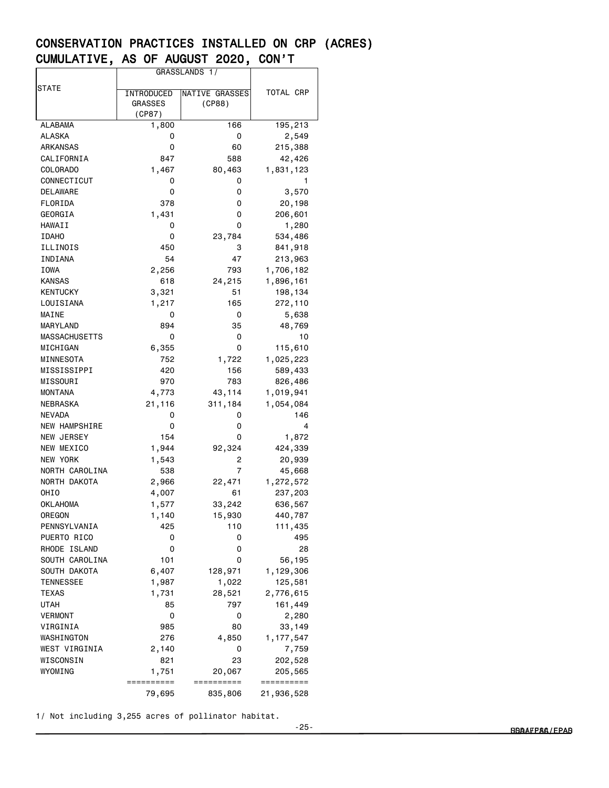|                      | GRASSLANDS 1/  |                |            |
|----------------------|----------------|----------------|------------|
| STATE                |                |                |            |
|                      | INTRODUCED     | NATIVE GRASSES | TOTAL CRP  |
|                      | <b>GRASSES</b> | (CP88)         |            |
|                      | (CP87)         |                |            |
| ALABAMA              | 1,800          | 166            | 195,213    |
| ALASKA               | 0              | 0              | 2,549      |
| ARKANSAS             | 0              | 60             | 215,388    |
| CALIFORNIA           | 847            | 588            | 42,426     |
| COLORADO             | 1,467          | 80,463         | 1,831,123  |
| CONNECTICUT          | 0              | 0              | 1          |
| DELAWARE             | 0              | 0              | 3,570      |
| FLORIDA              | 378            | 0              | 20,198     |
| GEORGIA              | 1,431          | 0              | 206,601    |
| HAWAII               | 0              | 0              | 1,280      |
| <b>IDAHO</b>         | 0              | 23,784         | 534,486    |
| ILLINOIS             | 450            | 3              | 841,918    |
| INDIANA              | 54             | 47             | 213,963    |
| IOWA                 | 2,256          | 793            | 1,706,182  |
| <b>KANSAS</b>        | 618            | 24,215         | 1,896,161  |
| KENTUCKY             | 3,321          | 51             | 198,134    |
| LOUISIANA            | 1,217          | 165            | 272,110    |
| MAINE                | 0              | 0              | 5,638      |
| MARYLAND             | 894            | 35             | 48,769     |
| MASSACHUSETTS        | 0              | 0              | 10         |
| MICHIGAN             | 6,355          | 0              | 115,610    |
| MINNESOTA            | 752            | 1,722          | 1,025,223  |
| MISSISSIPPI          | 420            | 156            | 589,433    |
| MISSOURI             | 970            | 783            | 826,486    |
| MONTANA              | 4,773          | 43,114         | 1,019,941  |
| NEBRASKA             | 21,116         | 311,184        | 1,054,084  |
| NEVADA               | 0              | 0              | 146        |
| <b>NEW HAMPSHIRE</b> | 0              | 0              | 4          |
| <b>NEW JERSEY</b>    | 154            | 0              | 1,872      |
| NEW MEXICO           | 1,944          | 92,324         | 424,339    |
| <b>NEW YORK</b>      | 1,543          | 2              | 20,939     |
| NORTH CAROLINA       | 538            | 7              | 45,668     |
| NORTH DAKOTA         |                | 22,471         |            |
| OHIO                 | 2,966          | 61             | 1,272,572  |
|                      | 4,007          |                | 237,203    |
| OKLAHOMA             | 1,577          | 33,242         | 636,567    |
| OREGON               | 1,140          | 15,930         | 440,787    |
| PENNSYLVANIA         | 425            | 110            | 111,435    |
| PUERTO RICO          | 0              | 0              | 495        |
| RHODE ISLAND         | 0              | 0              | 28         |
| SOUTH CAROLINA       | 101            | 0              | 56,195     |
| SOUTH DAKOTA         | 6,407          | 128,971        | 1,129,306  |
| TENNESSEE            | 1,987          | 1,022          | 125,581    |
| TEXAS                | 1,731          | 28,521         | 2,776,615  |
| UTAH                 | 85             | 797            | 161,449    |
| <b>VERMONT</b>       | 0              | 0              | 2,280      |
| VIRGINIA             | 985            | 80             | 33,149     |
| WASHINGTON           | 276            | 4,850          | 1,177,547  |
| WEST VIRGINIA        | 2,140          | 0              | 7,759      |
| WISCONSIN            | 821            | 23             | 202,528    |
| WYOMING              | 1,751          | 20,067         | 205,565    |
|                      | ==========     | ==========     | ========== |
|                      | 79,695         | 835,806        | 21,936,528 |

1/ Not including 3,255 acres of pollinator habitat.